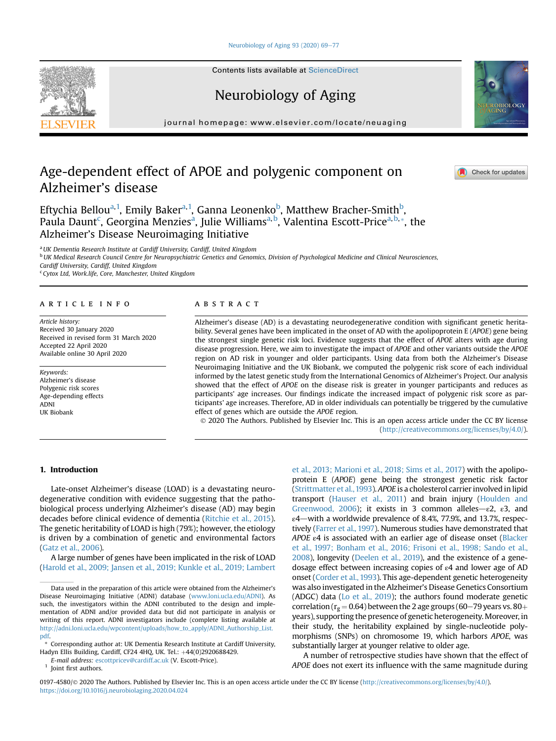## Neurobiology of Aging 93  $(2020)$  69-[77](https://doi.org/10.1016/j.neurobiolaging.2020.04.024)

Contents lists available at ScienceDirect

# Neurobiology of Aging

journal homepage: [www.elsevier.com/locate/neuaging](http://www.elsevier.com/locate/neuaging)

# Age-dependent effect of APOE and polygenic component on Alzheimer's disease

Eftychia Bellou<sup>[a,](#page-0-0)[1](#page-0-1)</sup>, Emily Baker<sup>a,1</sup>, Ganna Leonenko<sup>b</sup>, Matthew B[ra](#page-0-0)cher-Smith<sup>[b](#page-0-2)</sup>, Paula Daunt<sup>[c](#page-0-3)</sup>, Georgin[a](#page-0-0) Menzies<sup>a</sup>, Julie Williams<sup>a, [b](#page-0-2)</sup>, Valentina Escott-Price<sup>[a,](#page-0-0) b, [\\*](#page-0-4)</sup>, the Alzheimer's Disease Neuroimaging Initiative

<span id="page-0-0"></span><sup>a</sup> UK Dementia Research Institute at Cardiff University, Cardiff, United Kingdom

<span id="page-0-2"></span>**b** UK Medical Research Council Centre for Neuropsychiatric Genetics and Genomics, Division of Psychological Medicine and Clinical Neurosciences,

Cardiff University, Cardiff, United Kingdom

<span id="page-0-3"></span><sup>c</sup> Cytox Ltd, Work.life, Core, Manchester, United Kingdom

# article info

Article history: Received 30 January 2020 Received in revised form 31 March 2020 Accepted 22 April 2020 Available online 30 April 2020

Keywords: Alzheimer's disease Polygenic risk scores Age-depending effects ADNI UK Biobank

# A B S T R A C T

Alzheimer's disease (AD) is a devastating neurodegenerative condition with significant genetic heritability. Several genes have been implicated in the onset of AD with the apolipoprotein E (APOE) gene being the strongest single genetic risk loci. Evidence suggests that the effect of APOE alters with age during disease progression. Here, we aim to investigate the impact of APOE and other variants outside the APOE region on AD risk in younger and older participants. Using data from both the Alzheimer's Disease Neuroimaging Initiative and the UK Biobank, we computed the polygenic risk score of each individual informed by the latest genetic study from the International Genomics of Alzheimer's Project. Our analysis showed that the effect of APOE on the disease risk is greater in younger participants and reduces as participants' age increases. Our findings indicate the increased impact of polygenic risk score as participants' age increases. Therefore, AD in older individuals can potentially be triggered by the cumulative effect of genes which are outside the APOE region.

 2020 The Authors. Published by Elsevier Inc. This is an open access article under the CC BY license [\(http://creativecommons.org/licenses/by/4.0/](http://creativecommons.org/licenses/by/4.0/)).

# 1. Introduction

Late-onset Alzheimer's disease (LOAD) is a devastating neurodegenerative condition with evidence suggesting that the pathobiological process underlying Alzheimer's disease (AD) may begin decades before clinical evidence of dementia [\(Ritchie et al., 2015](#page-8-0)). The genetic heritability of LOAD is high (79%); however, the etiology is driven by a combination of genetic and environmental factors ([Gatz et al., 2006](#page-6-0)).

A large number of genes have been implicated in the risk of LOAD [\(Harold et al., 2009; Jansen et al., 2019; Kunkle et al., 2019; Lambert](#page-6-1)

E-mail address: [escottpricev@cardiff.ac.uk](mailto:escottpricev@cardiff.ac.uk) (V. Escott-Price).

<span id="page-0-1"></span> $^{\rm 1}$  Joint first authors.

[et al., 2013; Marioni et al., 2018; Sims et al., 2017\)](#page-6-1) with the apolipoprotein E (APOE) gene being the strongest genetic risk factor [\(Strittmatter et al.,1993\)](#page-8-1). APOE is a cholesterol carrier involved in lipid transport ([Hauser et al., 2011\)](#page-6-2) and brain injury [\(Houlden and](#page-6-3) [Greenwood, 2006\)](#page-6-3); it exists in 3 common alleles- $\epsilon$ 2,  $\epsilon$ 3, and  $\varepsilon$ 4—with a worldwide prevalence of 8.4%, 77.9%, and 13.7%, respectively [\(Farrer et al., 1997](#page-6-4)). Numerous studies have demonstrated that APOE ε4 is associated with an earlier age of disease onset ([Blacker](#page-6-5) [et al., 1997; Bonham et al., 2016; Frisoni et al., 1998; Sando et al.,](#page-6-5) [2008](#page-6-5)), longevity [\(Deelen et al., 2019\)](#page-6-6), and the existence of a genedosage effect between increasing copies of ε4 and lower age of AD onset [\(Corder et al., 1993](#page-6-7)). This age-dependent genetic heterogeneity was also investigated in the Alzheimer's Disease Genetics Consortium (ADGC) data [\(Lo et al., 2019](#page-7-0)); the authors found moderate genetic correlation ( $r_g$  = 0.64) between the 2 age groups (60–79 years vs. 80+ years), supporting the presence of genetic heterogeneity. Moreover, in their study, the heritability explained by single-nucleotide polymorphisms (SNPs) on chromosome 19, which harbors APOE, was substantially larger at younger relative to older age.

A number of retrospective studies have shown that the effect of APOE does not exert its influence with the same magnitude during







Data used in the preparation of this article were obtained from the Alzheimer's Disease Neuroimaging Initiative (ADNI) database [\(www.loni.ucla.edu/ADNI](http://www.loni.ucla.edu/ADNI)). As such, the investigators within the ADNI contributed to the design and implementation of ADNI and/or provided data but did not participate in analysis or writing of this report. ADNI investigators include (complete listing available at [http://adni.loni.ucla.edu/wpcontent/uploads/how\\_to\\_apply/ADNI\\_Authorship\\_List.](http://adni.loni.ucla.edu/wpcontent/uploads/how_to_apply/ADNI_Authorship_List.pdf) [pdf.](http://adni.loni.ucla.edu/wpcontent/uploads/how_to_apply/ADNI_Authorship_List.pdf)

<span id="page-0-4"></span><sup>\*</sup> Corresponding author at: UK Dementia Research Institute at Cardiff University, Hadyn Ellis Building, Cardiff, CF24 4HQ, UK. Tel.: +44(0)2920688429.

<sup>0197-4580/© 2020</sup> The Authors. Published by Elsevier Inc. This is an open access article under the CC BY license [\(http://creativecommons.org/licenses/by/4.0/\)](http://creativecommons.org/licenses/by/4.0/). <https://doi.org/10.1016/j.neurobiolaging.2020.04.024>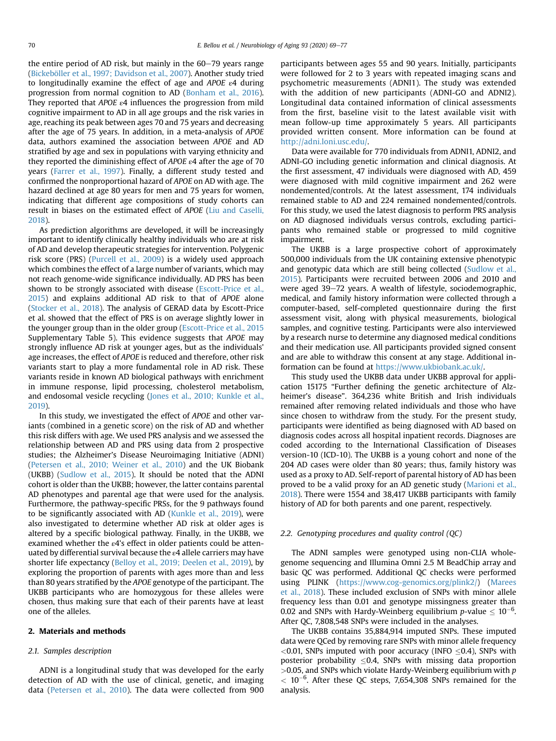the entire period of AD risk, but mainly in the  $60-79$  years range [\(Bickeböller et al., 1997; Davidson et al., 2007\)](#page-6-8). Another study tried to longitudinally examine the effect of age and APOE ε4 during progression from normal cognition to AD ([Bonham et al., 2016\)](#page-6-9). They reported that APOE ε4 influences the progression from mild cognitive impairment to AD in all age groups and the risk varies in age, reaching its peak between ages 70 and 75 years and decreasing after the age of 75 years. In addition, in a meta-analysis of APOE data, authors examined the association between APOE and AD stratified by age and sex in populations with varying ethnicity and they reported the diminishing effect of APOE ε4 after the age of 70 years [\(Farrer et al., 1997\)](#page-6-4). Finally, a different study tested and confirmed the nonproportional hazard of APOE on AD with age. The hazard declined at age 80 years for men and 75 years for women, indicating that different age compositions of study cohorts can result in biases on the estimated effect of APOE [\(Liu and Caselli,](#page-7-1) [2018](#page-7-1)).

As prediction algorithms are developed, it will be increasingly important to identify clinically healthy individuals who are at risk of AD and develop therapeutic strategies for intervention. Polygenic risk score (PRS) [\(Purcell et al., 2009\)](#page-8-2) is a widely used approach which combines the effect of a large number of variants, which may not reach genome-wide significance individually. AD PRS has been shown to be strongly associated with disease ([Escott-Price et al.,](#page-6-10) [2015](#page-6-10)) and explains additional AD risk to that of APOE alone [\(Stocker et al., 2018](#page-8-3)). The analysis of GERAD data by Escott-Price et al. showed that the effect of PRS is on average slightly lower in the younger group than in the older group ([Escott-Price et al., 2015](#page-6-10) Supplementary Table 5). This evidence suggests that APOE may strongly influence AD risk at younger ages, but as the individuals' age increases, the effect of APOE is reduced and therefore, other risk variants start to play a more fundamental role in AD risk. These variants reside in known AD biological pathways with enrichment in immune response, lipid processing, cholesterol metabolism, and endosomal vesicle recycling [\(Jones et al., 2010; Kunkle et al.,](#page-7-2) [2019](#page-7-2)).

In this study, we investigated the effect of APOE and other variants (combined in a genetic score) on the risk of AD and whether this risk differs with age. We used PRS analysis and we assessed the relationship between AD and PRS using data from 2 prospective studies; the Alzheimer's Disease Neuroimaging Initiative (ADNI) [\(Petersen et al., 2010; Weiner et al., 2010](#page-8-4)) and the UK Biobank (UKBB) [\(Sudlow et al., 2015](#page-8-5)). It should be noted that the ADNI cohort is older than the UKBB; however, the latter contains parental AD phenotypes and parental age that were used for the analysis. Furthermore, the pathway-specific PRSs, for the 9 pathways found to be significantly associated with AD ([Kunkle et al., 2019\)](#page-7-3), were also investigated to determine whether AD risk at older ages is altered by a specific biological pathway. Finally, in the UKBB, we examined whether the  $\varepsilon$ 4's effect in older patients could be attenuated by differential survival because the  $\varepsilon$ 4 allele carriers may have shorter life expectancy ([Belloy et al., 2019; Deelen et al., 2019](#page-6-11)), by exploring the proportion of parents with ages more than and less than 80 years stratified by the APOE genotype of the participant. The UKBB participants who are homozygous for these alleles were chosen, thus making sure that each of their parents have at least one of the alleles.

## 2. Materials and methods

#### 2.1. Samples description

ADNI is a longitudinal study that was developed for the early detection of AD with the use of clinical, genetic, and imaging data ([Petersen et al., 2010\)](#page-8-4). The data were collected from 900

participants between ages 55 and 90 years. Initially, participants were followed for 2 to 3 years with repeated imaging scans and psychometric measurements (ADNI1). The study was extended with the addition of new participants (ADNI-GO and ADNI2). Longitudinal data contained information of clinical assessments from the first, baseline visit to the latest available visit with mean follow-up time approximately 5 years. All participants provided written consent. More information can be found at <http://adni.loni.usc.edu/>.

Data were available for 770 individuals from ADNI1, ADNI2, and ADNI-GO including genetic information and clinical diagnosis. At the first assessment, 47 individuals were diagnosed with AD, 459 were diagnosed with mild cognitive impairment and 262 were nondemented/controls. At the latest assessment, 174 individuals remained stable to AD and 224 remained nondemented/controls. For this study, we used the latest diagnosis to perform PRS analysis on AD diagnosed individuals versus controls, excluding participants who remained stable or progressed to mild cognitive impairment.

The UKBB is a large prospective cohort of approximately 500,000 individuals from the UK containing extensive phenotypic and genotypic data which are still being collected [\(Sudlow et al.,](#page-8-5) [2015\)](#page-8-5). Participants were recruited between 2006 and 2010 and were aged 39-72 years. A wealth of lifestyle, sociodemographic, medical, and family history information were collected through a computer-based, self-completed questionnaire during the first assessment visit, along with physical measurements, biological samples, and cognitive testing. Participants were also interviewed by a research nurse to determine any diagnosed medical conditions and their medication use. All participants provided signed consent and are able to withdraw this consent at any stage. Additional information can be found at <https://www.ukbiobank.ac.uk/>.

This study used the UKBB data under UKBB approval for application 15175 "Further defining the genetic architecture of Alzheimer's disease". 364,236 white British and Irish individuals remained after removing related individuals and those who have since chosen to withdraw from the study. For the present study, participants were identified as being diagnosed with AD based on diagnosis codes across all hospital inpatient records. Diagnoses are coded according to the International Classification of Diseases version-10 (ICD-10). The UKBB is a young cohort and none of the 204 AD cases were older than 80 years; thus, family history was used as a proxy to AD. Self-report of parental history of AD has been proved to be a valid proxy for an AD genetic study ([Marioni et al.,](#page-7-4) [2018\)](#page-7-4). There were 1554 and 38,417 UKBB participants with family history of AD for both parents and one parent, respectively.

## 2.2. Genotyping procedures and quality control (QC)

The ADNI samples were genotyped using non-CLIA wholegenome sequencing and Illumina Omni 2.5 M BeadChip array and basic QC was performed. Additional QC checks were performed using PLINK [\(https://www.cog-genomics.org/plink2/\)](https://www.cog-genomics.org/plink2/) [\(Marees](#page-7-5) [et al., 2018\)](#page-7-5). These included exclusion of SNPs with minor allele frequency less than 0.01 and genotype missingness greater than 0.02 and SNPs with Hardy-Weinberg equilibrium p-value  $\leq 10^{-6}$ . After QC, 7,808,548 SNPs were included in the analyses.

The UKBB contains 35,884,914 imputed SNPs. These imputed data were QCed by removing rare SNPs with minor allele frequency  $<$  0.01, SNPs imputed with poor accuracy (INFO  $\leq$  0.4), SNPs with posterior probability  $\leq$ 0.4, SNPs with missing data proportion  $>$ 0.05, and SNPs which violate Hardy-Weinberg equilibrium with p  $<$  10<sup>-6</sup>. After these QC steps, 7,654,308 SNPs remained for the analysis.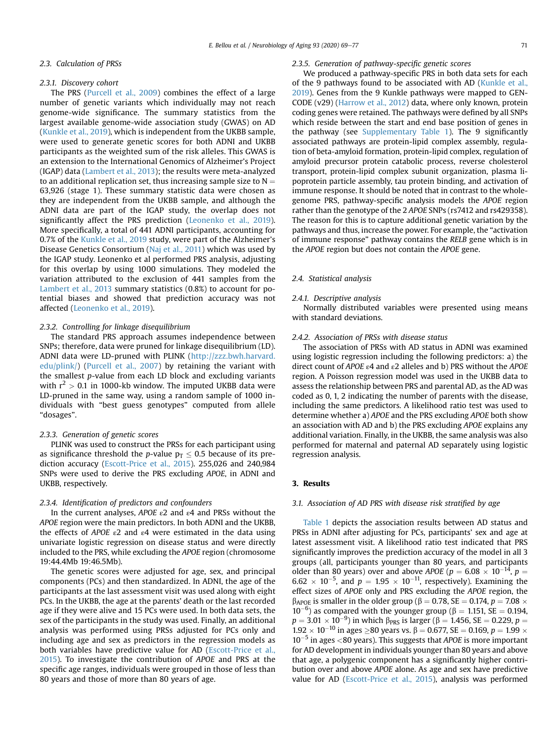## 2.3. Calculation of PRSs

#### 2.3.1. Discovery cohort

The PRS [\(Purcell et al., 2009](#page-8-2)) combines the effect of a large number of genetic variants which individually may not reach genome-wide significance. The summary statistics from the largest available genome-wide association study (GWAS) on AD ([Kunkle et al., 2019\)](#page-7-3), which is independent from the UKBB sample, were used to generate genetic scores for both ADNI and UKBB participants as the weighted sum of the risk alleles. This GWAS is an extension to the International Genomics of Alzheimer's Project (IGAP) data ([Lambert et al., 2013\)](#page-7-6); the results were meta-analyzed to an additional replication set, thus increasing sample size to  $N =$ 63,926 (stage 1). These summary statistic data were chosen as they are independent from the UKBB sample, and although the ADNI data are part of the IGAP study, the overlap does not significantly affect the PRS prediction [\(Leonenko et al., 2019](#page-7-7)). More specifically, a total of 441 ADNI participants, accounting for 0.7% of the [Kunkle et al., 2019](#page-7-3) study, were part of the Alzheimer's Disease Genetics Consortium ([Naj et al., 2011\)](#page-7-8) which was used by the IGAP study. Leonenko et al performed PRS analysis, adjusting for this overlap by using 1000 simulations. They modeled the variation attributed to the exclusion of 441 samples from the [Lambert et al., 2013](#page-7-6) summary statistics (0.8%) to account for potential biases and showed that prediction accuracy was not affected ([Leonenko et al., 2019](#page-7-7)).

# 2.3.2. Controlling for linkage disequilibrium

The standard PRS approach assumes independence between SNPs; therefore, data were pruned for linkage disequilibrium (LD). ADNI data were LD-pruned with PLINK ([http://zzz.bwh.harvard.](http://zzz.bwh.harvard.edu/plink/) [edu/plink/](http://zzz.bwh.harvard.edu/plink/)) ([Purcell et al., 2007](#page-8-6)) by retaining the variant with the smallest p-value from each LD block and excluding variants with  $r^2 > 0.1$  in 1000-kb window. The imputed UKBB data were LD-pruned in the same way, using a random sample of 1000 individuals with "best guess genotypes" computed from allele "dosages".

# 2.3.3. Generation of genetic scores

PLINK was used to construct the PRSs for each participant using as significance threshold the *p*-value  $p_T \le 0.5$  because of its prediction accuracy ([Escott-Price et al., 2015\)](#page-6-10). 255,026 and 240,984 SNPs were used to derive the PRS excluding APOE, in ADNI and UKBB, respectively.

# 2.3.4. Identification of predictors and confounders

In the current analyses, APOE  $\varepsilon$ 2 and  $\varepsilon$ 4 and PRSs without the APOE region were the main predictors. In both ADNI and the UKBB, the effects of APOE ε2 and ε4 were estimated in the data using univariate logistic regression on disease status and were directly included to the PRS, while excluding the APOE region (chromosome 19:44.4Mb 19:46.5Mb).

The genetic scores were adjusted for age, sex, and principal components (PCs) and then standardized. In ADNI, the age of the participants at the last assessment visit was used along with eight PCs. In the UKBB, the age at the parents' death or the last recorded age if they were alive and 15 PCs were used. In both data sets, the sex of the participants in the study was used. Finally, an additional analysis was performed using PRSs adjusted for PCs only and including age and sex as predictors in the regression models as both variables have predictive value for AD ([Escott-Price et al.,](#page-6-10) [2015](#page-6-10)). To investigate the contribution of APOE and PRS at the specific age ranges, individuals were grouped in those of less than 80 years and those of more than 80 years of age.

#### 2.3.5. Generation of pathway-specific genetic scores

We produced a pathway-specific PRS in both data sets for each of the 9 pathways found to be associated with AD [\(Kunkle et al.,](#page-7-3) [2019](#page-7-3)). Genes from the 9 Kunkle pathways were mapped to GEN-CODE (v29) [\(Harrow et al., 2012\)](#page-6-12) data, where only known, protein coding genes were retained. The pathways were defined by all SNPs which reside between the start and end base position of genes in the pathway (see Supplementary Table 1). The 9 significantly associated pathways are protein-lipid complex assembly, regulation of beta-amyloid formation, protein-lipid complex, regulation of amyloid precursor protein catabolic process, reverse cholesterol transport, protein-lipid complex subunit organization, plasma lipoprotein particle assembly, tau protein binding, and activation of immune response. It should be noted that in contrast to the wholegenome PRS, pathway-specific analysis models the APOE region rather than the genotype of the 2 APOE SNPs (rs7412 and rs429358). The reason for this is to capture additional genetic variation by the pathways and thus, increase the power. For example, the "activation of immune response" pathway contains the RELB gene which is in the APOE region but does not contain the APOE gene.

# 2.4. Statistical analysis

# 2.4.1. Descriptive analysis

Normally distributed variables were presented using means with standard deviations.

# 2.4.2. Association of PRSs with disease status

The association of PRSs with AD status in ADNI was examined using logistic regression including the following predictors: a) the direct count of APOE ε4 and ε2 alleles and b) PRS without the APOE region. A Poisson regression model was used in the UKBB data to assess the relationship between PRS and parental AD, as the AD was coded as 0, 1, 2 indicating the number of parents with the disease, including the same predictors. A likelihood ratio test was used to determine whether a) APOE and the PRS excluding APOE both show an association with AD and b) the PRS excluding APOE explains any additional variation. Finally, in the UKBB, the same analysis was also performed for maternal and paternal AD separately using logistic regression analysis.

# 3. Results

# 3.1. Association of AD PRS with disease risk stratified by age

[Table 1](#page-3-0) depicts the association results between AD status and PRSs in ADNI after adjusting for PCs, participants' sex and age at latest assessment visit. A likelihood ratio test indicated that PRS significantly improves the prediction accuracy of the model in all 3 groups (all, participants younger than 80 years, and participants older than 80 years) over and above *APOE* ( $p = 6.08 \times 10^{-14}$ ,  $p =$  $6.62 \times 10^{-5}$ , and  $p = 1.95 \times 10^{-11}$ , respectively). Examining the effect sizes of APOE only and PRS excluding the APOE region, the  $\beta_{\text{APOE}}$  is smaller in the older group ( $\beta = 0.78$ , SE  $= 0.174$ ,  $p = 7.08 \times$  $10^{-6}$ ) as compared with the younger group ( $\beta = 1.151$ , SE = 0.194,  $p = 3.01 \times 10^{-9}$ ) in which  $\beta_{\rm PRS}$  is larger ( $\beta = 1.456$ , SE = 0.229,  $p = 1.456$  $1.92 \times 10^{-10}$  in ages  $\geq$ 80 years vs.  $\beta = 0.677$ , SE  $= 0.169$ ,  $p = 1.99 \times$  $10^{-5}$  in ages  $\langle 80 \rangle$  years). This suggests that APOE is more important for AD development in individuals younger than 80 years and above that age, a polygenic component has a significantly higher contribution over and above APOE alone. As age and sex have predictive value for AD [\(Escott-Price et al., 2015](#page-6-10)), analysis was performed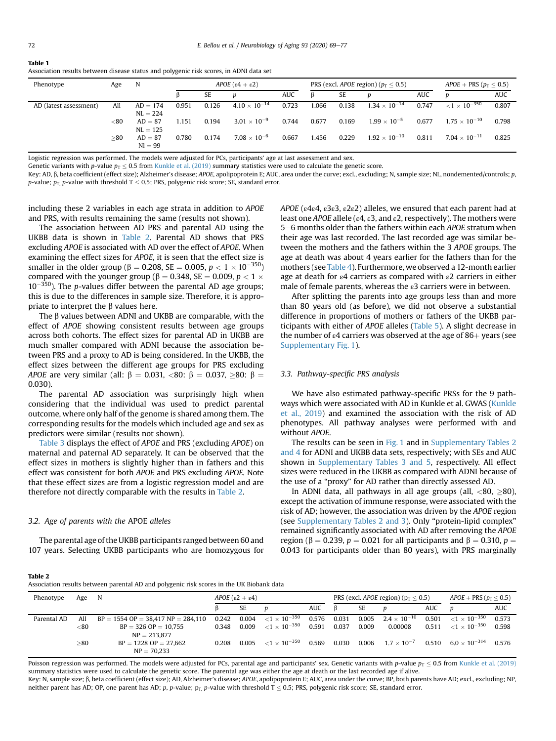<span id="page-3-0"></span>

| Table 1                                                                                |  |
|----------------------------------------------------------------------------------------|--|
| Association results between disease status and polygenic risk scores, in ADNI data set |  |

| Phenotype              | Age  | N                        | APOE $(\varepsilon 4 + \varepsilon 2)$ |       |                       | PRS (excl. APOE region) ( $p_T < 0.5$ ) |       |       | $APOE + PRS (p_T \le 0.5)$ |       |                         |       |
|------------------------|------|--------------------------|----------------------------------------|-------|-----------------------|-----------------------------------------|-------|-------|----------------------------|-------|-------------------------|-------|
|                        |      |                          |                                        | SE    | D                     | AUC.                                    |       | SE    | D                          | AUC   | D                       | AUC   |
| AD (latest assessment) | All  | $AD = 174$<br>$NL = 224$ | 0.951                                  | 0.126 | $4.10\times10^{-14}$  | 0.723                                   | 1.066 | 0.138 | $1.34\times10^{-14}$       | 0.747 | ${<}1 \times 10^{-350}$ | 0.807 |
|                        | < 80 | $AD = 87$<br>$NL = 125$  | 1.151                                  | 0.194 | $3.01 \times 10^{-9}$ | 0.744                                   | 0.677 | 0.169 | $1.99 \times 10^{-5}$      | 0.677 | $1.75 \times 10^{-10}$  | 0.798 |
|                        | >80  | $AD = 87$<br>$N = 99$    | 0.780                                  | 0.174 | $7.08 \times 10^{-6}$ | 0.667                                   | 1.456 | 0.229 | $1.92 \times 10^{-10}$     | 0.811 | $7.04 \times 10^{-11}$  | 0.825 |

Logistic regression was performed. The models were adjusted for PCs, participants' age at last assessment and sex.

Genetic variants with p-value  $p_{\rm T}$   $\leq$  0.5 from [Kunkle et al. \(2019\)](#page-7-3) summary statistics were used to calculate the genetic score.

Key: AD,  $\beta$ , beta coefficient (effect size); Alzheimer's disease; APOE, apolipoprotein E; AUC, area under the curve; excl., excluding; N, sample size; NL, nondemented/controls; p, p-value;  $p_{\text{T},}$  p-value with threshold T  $\leq$  0.5; PRS, polygenic risk score; SE, standard error.

including these 2 variables in each age strata in addition to APOE and PRS, with results remaining the same (results not shown).

The association between AD PRS and parental AD using the UKBB data is shown in [Table 2.](#page-3-1) Parental AD shows that PRS excluding APOE is associated with AD over the effect of APOE. When examining the effect sizes for APOE, it is seen that the effect size is smaller in the older group ( $\beta = 0.208$ , SE = 0.005,  $p < 1 \times 10^{-350}$ ) compared with the younger group ( $\beta = 0.348$ , SE = 0.009, p < 1  $\times$  $10^{-350}$ ). The *p*-values differ between the parental AD age groups; this is due to the differences in sample size. Therefore, it is appropriate to interpret the  $\beta$  values here.

The  $\beta$  values between ADNI and UKBB are comparable, with the effect of APOE showing consistent results between age groups across both cohorts. The effect sizes for parental AD in UKBB are much smaller compared with ADNI because the association between PRS and a proxy to AD is being considered. In the UKBB, the effect sizes between the different age groups for PRS excluding APOE are very similar (all:  $\beta = 0.031$ , <80:  $\beta = 0.037$ ,  $\geq$ 80:  $\beta =$ 0.030).

The parental AD association was surprisingly high when considering that the individual was used to predict parental outcome, where only half of the genome is shared among them. The corresponding results for the models which included age and sex as predictors were similar (results not shown).

[Table 3](#page-4-0) displays the effect of APOE and PRS (excluding APOE) on maternal and paternal AD separately. It can be observed that the effect sizes in mothers is slightly higher than in fathers and this effect was consistent for both APOE and PRS excluding APOE. Note that these effect sizes are from a logistic regression model and are therefore not directly comparable with the results in [Table 2](#page-3-1).

# 3.2. Age of parents with the APOE alleles

The parental age of the UKBB participants ranged between 60 and 107 years. Selecting UKBB participants who are homozygous for APOE ( $\varepsilon$ 4 $\varepsilon$ 4,  $\varepsilon$ 3 $\varepsilon$ 3,  $\varepsilon$ 2 $\varepsilon$ 2) alleles, we ensured that each parent had at least one APOE allele ( $\varepsilon$ 4,  $\varepsilon$ 3, and  $\varepsilon$ 2, respectively). The mothers were 5–6 months older than the fathers within each APOE stratum when their age was last recorded. The last recorded age was similar between the mothers and the fathers within the 3 APOE groups. The age at death was about 4 years earlier for the fathers than for the mothers (see [Table 4\)](#page-4-1). Furthermore, we observed a 12-month earlier age at death for  $\varepsilon$ 4 carriers as compared with  $\varepsilon$ 2 carriers in either male of female parents, whereas the  $\varepsilon$ 3 carriers were in between.

After splitting the parents into age groups less than and more than 80 years old (as before), we did not observe a substantial difference in proportions of mothers or fathers of the UKBB participants with either of APOE alleles ([Table 5](#page-4-2)). A slight decrease in the number of  $\varepsilon$ 4 carriers was observed at the age of 86+ years (see Supplementary Fig. 1).

## 3.3. Pathway-specific PRS analysis

We have also estimated pathway-specific PRSs for the 9 path-ways which were associated with AD in Kunkle et al. GWAS [\(Kunkle](#page-7-3) [et al., 2019\)](#page-7-3) and examined the association with the risk of AD phenotypes. All pathway analyses were performed with and without APOE.

The results can be seen in [Fig. 1](#page-5-0) and in Supplementary Tables 2 and 4 for ADNI and UKBB data sets, respectively; with SEs and AUC shown in Supplementary Tables 3 and 5, respectively. All effect sizes were reduced in the UKBB as compared with ADNI because of the use of a "proxy" for AD rather than directly assessed AD.

In ADNI data, all pathways in all age groups (all,  $\langle 80, \rangle 80$ ), except the activation of immune response, were associated with the risk of AD; however, the association was driven by the APOE region (see Supplementary Tables 2 and 3). Only "protein-lipid complex" remained significantly associated with AD after removing the APOE region ( $\beta = 0.239$ ,  $p = 0.021$  for all participants and  $\beta = 0.310$ ,  $p =$ 0.043 for participants older than 80 years), with PRS marginally

#### <span id="page-3-1"></span>Table 2

|  | Association results between parental AD and polygenic risk scores in the UK Biobank data |
|--|------------------------------------------------------------------------------------------|
|--|------------------------------------------------------------------------------------------|

| Phenotype   | Age         | N                                                                                | APOE $(\varepsilon 2 + \varepsilon 4)$ |                |                                                 |                | PRS (excl. APOE region) ( $p_T < 0.5$ ) |                |                                | $APOE + PRS (p_T < 0.5)$ |                                                              |                |
|-------------|-------------|----------------------------------------------------------------------------------|----------------------------------------|----------------|-------------------------------------------------|----------------|-----------------------------------------|----------------|--------------------------------|--------------------------|--------------------------------------------------------------|----------------|
|             |             |                                                                                  |                                        | SE             | D                                               | AUC            |                                         | SE             | n                              | AUC                      | $\boldsymbol{D}$                                             | AUC            |
| Parental AD | All<br>< 80 | $BP = 1554 OP = 38,417 NP = 284,110$<br>$BP = 326 OP = 10.755$<br>$NP = 213.877$ | 0.242<br>0.348                         | 0.004<br>0.009 | ${<}1\times10^{-350}$<br>$< 1 \times 10^{-350}$ | 0.576<br>0.591 | 0.031<br>0.037                          | 0.005<br>0.009 | $2.4\times10^{-10}$<br>0.00008 | 0.501                    | ${<}1 \times 10^{-350}$<br>$0.511 \quad <1 \times 10^{-350}$ | 0.573<br>0.598 |
|             | $_{\geq}80$ | $BP = 1228$ OP = 27.662<br>$NP = 70.233$                                         | 0.208                                  |                | $0.005 \quad <1 \times 10^{-350}$               | 0.569          | 0.030                                   |                |                                |                          | 0.006 $1.7 \times 10^{-7}$ 0.510 $6.0 \times 10^{-314}$      | 0.576          |

Poisson regression was performed. The models were adjusted for PCs, parental age and participants' sex. Genetic variants with p-value  $p_T \le 0.5$  from [Kunkle et al. \(2019\)](#page-7-3) summary statistics were used to calculate the genetic score. The parental age was either the age at death or the last recorded age if alive. Key: N, sample size;  $\beta$ , beta coefficient (effect size); AD, Alzheimer's disease; APOE, apolipoprotein E; AUC, area under the curve; BP, both parents have AD; excl., excluding; NP,

neither parent has AD; OP, one parent has AD;  $p$ ,  $p$ -value;  $p_{\rm T}$ ,  $p$ -value with threshold T  $\leq$  0.5; PRS, polygenic risk score; SE, standard error.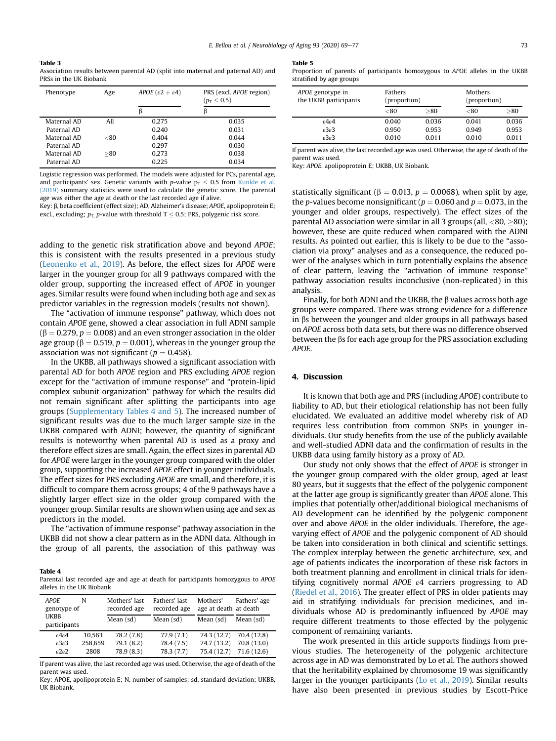<span id="page-4-0"></span>Table 3 Association results between parental AD (split into maternal and paternal AD) and PRSs in the UK Biobank

| Phenotype   | Age  | APOE $(\varepsilon 2 + \varepsilon 4)$ | PRS (excl. APOE region)<br>$(p_T \le 0.5)$ |
|-------------|------|----------------------------------------|--------------------------------------------|
|             |      | β                                      |                                            |
| Maternal AD | All  | 0.275                                  | 0.035                                      |
| Paternal AD |      | 0.240                                  | 0.031                                      |
| Maternal AD | < 80 | 0.404                                  | 0.044                                      |
| Paternal AD |      | 0.297                                  | 0.030                                      |
| Maternal AD | > 80 | 0.273                                  | 0.038                                      |
| Paternal AD |      | 0.225                                  | 0.034                                      |

Logistic regression was performed. The models were adjusted for PCs, parental age, and participants' sex. Genetic variants with p-value  $p_T \leq 0.5$  from [Kunkle et al.](#page-7-3) [\(2019\)](#page-7-3) summary statistics were used to calculate the genetic score. The parental age was either the age at death or the last recorded age if alive.

Key:  $\beta$ , beta coefficient (effect size); AD, Alzheimer's disease; APOE, apolipoprotein E; excl., excluding;  $p_{\rm T,}$   $p$ -value with threshold T  $\leq$  0.5; PRS, polygenic risk score.

adding to the genetic risk stratification above and beyond APOE; this is consistent with the results presented in a previous study ([Leonenko et al., 2019\)](#page-7-7). As before, the effect sizes for APOE were larger in the younger group for all 9 pathways compared with the older group, supporting the increased effect of APOE in younger ages. Similar results were found when including both age and sex as predictor variables in the regression models (results not shown).

The "activation of immune response" pathway, which does not contain APOE gene, showed a clear association in full ADNI sample  $(\beta = 0.279, p = 0.008)$  and an even stronger association in the older age group ( $\beta = 0.519$ ,  $p = 0.001$ ), whereas in the younger group the association was not significant ( $p = 0.458$ ).

In the UKBB, all pathways showed a significant association with parental AD for both APOE region and PRS excluding APOE region except for the "activation of immune response" and "protein-lipid complex subunit organization" pathway for which the results did not remain significant after splitting the participants into age groups (Supplementary Tables 4 and 5). The increased number of significant results was due to the much larger sample size in the UKBB compared with ADNI; however, the quantity of significant results is noteworthy when parental AD is used as a proxy and therefore effect sizes are small. Again, the effect sizes in parental AD for APOE were larger in the younger group compared with the older group, supporting the increased APOE effect in younger individuals. The effect sizes for PRS excluding APOE are small, and therefore, it is difficult to compare them across groups; 4 of the 9 pathways have a slightly larger effect size in the older group compared with the younger group. Similar results are shown when using age and sex as predictors in the model.

The "activation of immune response" pathway association in the UKBB did not show a clear pattern as in the ADNI data. Although in the group of all parents, the association of this pathway was

#### <span id="page-4-1"></span>Table 4

Parental last recorded age and age at death for participants homozygous to APOE alleles in the UK Biobank

| <b>APOE</b><br>genotype of  | N       | Mothers' last<br>recorded age | Fathers' last<br>recorded age | Mothers'<br>age at death at death | Fathers' age<br>Mean (sd) |  |
|-----------------------------|---------|-------------------------------|-------------------------------|-----------------------------------|---------------------------|--|
| <b>UKBB</b><br>participants |         | Mean (sd)                     | Mean (sd)                     | Mean (sd)                         |                           |  |
| $\epsilon$ 4 $\epsilon$ 4   | 10.563  | 78.2 (7.8)                    | 77.9(7.1)                     | 74.3 (12.7)                       | 70.4 (12.8)               |  |
| $\epsilon$ 3 $\epsilon$ 3   | 258.659 | 79.1 (8.2)                    | 78.4 (7.5)                    | 74.7 (13.2)                       | 70.8 (13.0)               |  |
| 5252                        | 2808    | 78.9(8.3)                     | 78.3 (7.7)                    | 75.4 (12.7)                       | 71.6(12.6)                |  |

If parent was alive, the last recorded age was used. Otherwise, the age of death of the parent was used.

Key: APOE, apolipoprotein E; N, number of samples; sd, standard deviation; UKBB, UK Biobank.

#### <span id="page-4-2"></span>Table 5

Proportion of parents of participants homozygous to APOE alleles in the UKBB stratified by age groups

| APOE genotype in<br>the UKBB participants | Fathers<br>(proportion) |       | <b>Mothers</b><br>(proportion) |       |  |
|-------------------------------------------|-------------------------|-------|--------------------------------|-------|--|
|                                           | <80                     | > 80  | < 80                           | > 80  |  |
| $\epsilon$ 4 $\epsilon$ 4                 | 0.040                   | 0.036 | 0.041                          | 0.036 |  |
| $\epsilon$ 3 $\epsilon$ 3                 | 0.950                   | 0.953 | 0.949                          | 0.953 |  |
| $\epsilon$ 3 $\epsilon$ 3                 | 0.010                   | 0.011 | 0.010                          | 0.011 |  |

If parent was alive, the last recorded age was used. Otherwise, the age of death of the parent was used.

Key: APOE, apolipoprotein E; UKBB, UK Biobank.

statistically significant ( $\beta = 0.013$ ,  $p = 0.0068$ ), when split by age, the *p*-values become nonsignificant ( $p = 0.060$  and  $p = 0.073$ , in the younger and older groups, respectively). The effect sizes of the parental AD association were similar in all 3 groups (all,  $\langle 80, \rangle 80$ ); however, these are quite reduced when compared with the ADNI results. As pointed out earlier, this is likely to be due to the "association via proxy" analyses and as a consequence, the reduced power of the analyses which in turn potentially explains the absence of clear pattern, leaving the "activation of immune response" pathway association results inconclusive (non-replicated) in this analysis.

Finally, for both ADNI and the UKBB, the  $\beta$  values across both age groups were compared. There was strong evidence for a difference in  $\beta$ s between the younger and older groups in all pathways based on APOE across both data sets, but there was no difference observed between the  $\beta$ s for each age group for the PRS association excluding APOE.

### 4. Discussion

It is known that both age and PRS (including APOE) contribute to liability to AD, but their etiological relationship has not been fully elucidated. We evaluated an additive model whereby risk of AD requires less contribution from common SNPs in younger individuals. Our study benefits from the use of the publicly available and well-studied ADNI data and the confirmation of results in the UKBB data using family history as a proxy of AD.

Our study not only shows that the effect of APOE is stronger in the younger group compared with the older group, aged at least 80 years, but it suggests that the effect of the polygenic component at the latter age group is significantly greater than APOE alone. This implies that potentially other/additional biological mechanisms of AD development can be identified by the polygenic component over and above APOE in the older individuals. Therefore, the agevarying effect of APOE and the polygenic component of AD should be taken into consideration in both clinical and scientific settings. The complex interplay between the genetic architecture, sex, and age of patients indicates the incorporation of these risk factors in both treatment planning and enrollment in clinical trials for identifying cognitively normal APOE ε4 carriers progressing to AD [\(Riedel et al., 2016](#page-8-7)). The greater effect of PRS in older patients may aid in stratifying individuals for precision medicines, and individuals whose AD is predominantly influenced by APOE may require different treatments to those effected by the polygenic component of remaining variants.

The work presented in this article supports findings from previous studies. The heterogeneity of the polygenic architecture across age in AD was demonstrated by Lo et al. The authors showed that the heritability explained by chromosome 19 was significantly larger in the younger participants ([Lo et al., 2019](#page-7-0)). Similar results have also been presented in previous studies by Escott-Price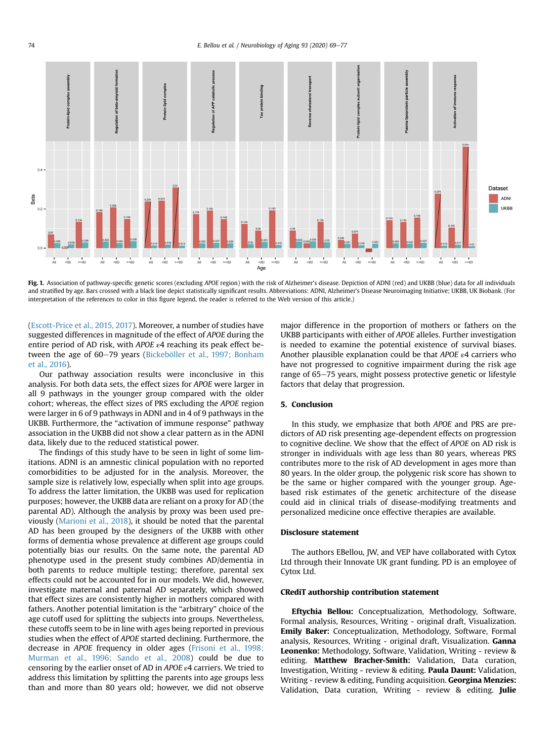<span id="page-5-0"></span>

Fig. 1. Association of pathway-specific genetic scores (excluding APOE region) with the risk of Alzheimer's disease. Depiction of ADNI (red) and UKBB (blue) data for all individuals and stratified by age. Bars crossed with a black line depict statistically significant results. Abbreviations: ADNI, Alzheimer's Disease Neuroimaging Initiative; UKBB, UK Biobank. (For interpretation of the references to color in this figure legend, the reader is referred to the Web version of this article.)

[\(Escott-Price et al., 2015, 2017](#page-6-10)). Moreover, a number of studies have suggested differences in magnitude of the effect of APOE during the entire period of AD risk, with APOE  $\varepsilon$ 4 reaching its peak effect be-tween the age of 60-79 years ([Bickeböller et al., 1997; Bonham](#page-6-8) [et al., 2016](#page-6-8)).

Our pathway association results were inconclusive in this analysis. For both data sets, the effect sizes for APOE were larger in all 9 pathways in the younger group compared with the older cohort; whereas, the effect sizes of PRS excluding the APOE region were larger in 6 of 9 pathways in ADNI and in 4 of 9 pathways in the UKBB. Furthermore, the "activation of immune response" pathway association in the UKBB did not show a clear pattern as in the ADNI data, likely due to the reduced statistical power.

The findings of this study have to be seen in light of some limitations. ADNI is an amnestic clinical population with no reported comorbidities to be adjusted for in the analysis. Moreover, the sample size is relatively low, especially when split into age groups. To address the latter limitation, the UKBB was used for replication purposes; however, the UKBB data are reliant on a proxy for AD (the parental AD). Although the analysis by proxy was been used previously ([Marioni et al., 2018\)](#page-7-4), it should be noted that the parental AD has been grouped by the designers of the UKBB with other forms of dementia whose prevalence at different age groups could potentially bias our results. On the same note, the parental AD phenotype used in the present study combines AD/dementia in both parents to reduce multiple testing; therefore, parental sex effects could not be accounted for in our models. We did, however, investigate maternal and paternal AD separately, which showed that effect sizes are consistently higher in mothers compared with fathers. Another potential limitation is the "arbitrary" choice of the age cutoff used for splitting the subjects into groups. Nevertheless, these cutoffs seem to be in line with ages being reported in previous studies when the effect of APOE started declining. Furthermore, the decrease in APOE frequency in older ages ([Frisoni et al., 1998;](#page-6-13) [Murman et al., 1996; Sando et al., 2008](#page-6-13)) could be due to censoring by the earlier onset of AD in APOE ε4 carriers. We tried to address this limitation by splitting the parents into age groups less than and more than 80 years old; however, we did not observe

major difference in the proportion of mothers or fathers on the UKBB participants with either of APOE alleles. Further investigation is needed to examine the potential existence of survival biases. Another plausible explanation could be that  $APOE \varepsilon 4$  carriers who have not progressed to cognitive impairment during the risk age range of 65-75 years, might possess protective genetic or lifestyle factors that delay that progression.

# 5. Conclusion

In this study, we emphasize that both APOE and PRS are predictors of AD risk presenting age-dependent effects on progression to cognitive decline. We show that the effect of APOE on AD risk is stronger in individuals with age less than 80 years, whereas PRS contributes more to the risk of AD development in ages more than 80 years. In the older group, the polygenic risk score has shown to be the same or higher compared with the younger group. Agebased risk estimates of the genetic architecture of the disease could aid in clinical trials of disease-modifying treatments and personalized medicine once effective therapies are available.

#### Disclosure statement

The authors EBellou, JW, and VEP have collaborated with Cytox Ltd through their Innovate UK grant funding. PD is an employee of Cytox Ltd.

## CRediT authorship contribution statement

Eftychia Bellou: Conceptualization, Methodology, Software, Formal analysis, Resources, Writing - original draft, Visualization. Emily Baker: Conceptualization, Methodology, Software, Formal analysis, Resources, Writing - original draft, Visualization. Ganna Leonenko: Methodology, Software, Validation, Writing - review & editing. Matthew Bracher-Smith: Validation, Data curation, Investigation, Writing - review & editing. Paula Daunt: Validation, Writing - review & editing, Funding acquisition. Georgina Menzies: Validation, Data curation, Writing - review & editing. Julie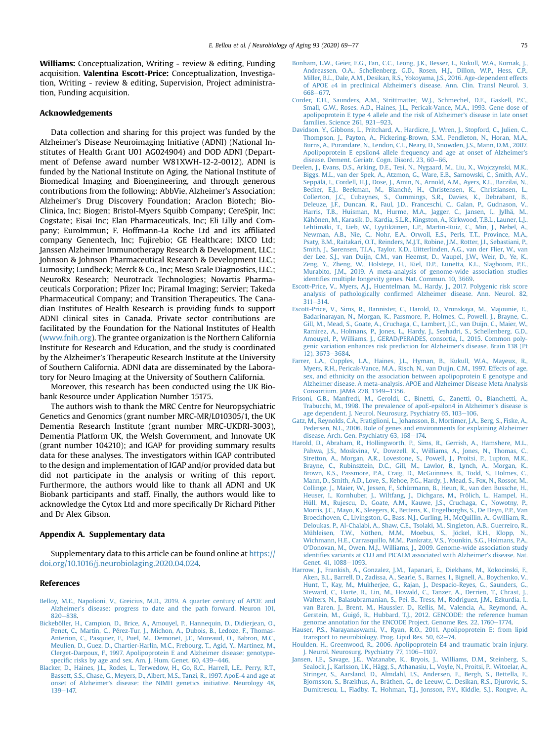Williams: Conceptualization, Writing - review & editing, Funding acquisition. Valentina Escott-Price: Conceptualization, Investigation, Writing - review & editing, Supervision, Project administration, Funding acquisition.

# Acknowledgements

Data collection and sharing for this project was funded by the Alzheimer's Disease Neuroimaging Initiative (ADNI) (National Institutes of Health Grant U01 AG024904) and DOD ADNI (Department of Defense award number W81XWH-12-2-0012). ADNI is funded by the National Institute on Aging, the National Institute of Biomedical Imaging and Bioengineering, and through generous contributions from the following: AbbVie, Alzheimer's Association; Alzheimer's Drug Discovery Foundation; Araclon Biotech; Bio-Clinica, Inc; Biogen; Bristol-Myers Squibb Company; CereSpir, Inc; Cogstate; Eisai Inc; Elan Pharmaceuticals, Inc; Eli Lilly and Company; EuroImmun; F. Hoffmann-La Roche Ltd and its affiliated company Genentech, Inc; Fujirebio; GE Healthcare; IXICO Ltd; Janssen Alzheimer Immunotherapy Research & Development, LLC.; Johnson & Johnson Pharmaceutical Research & Development LLC.; Lumosity; Lundbeck; Merck & Co., Inc; Meso Scale Diagnostics, LLC.; NeuroRx Research; Neurotrack Technologies; Novartis Pharmaceuticals Corporation; Pfizer Inc; Piramal Imaging; Servier; Takeda Pharmaceutical Company; and Transition Therapeutics. The Canadian Institutes of Health Research is providing funds to support ADNI clinical sites in Canada. Private sector contributions are facilitated by the Foundation for the National Institutes of Health ([www.fnih.org\)](http://www.fnih.org). The grantee organization is the Northern California Institute for Research and Education, and the study is coordinated by the Alzheimer's Therapeutic Research Institute at the University of Southern California. ADNI data are disseminated by the Laboratory for Neuro Imaging at the University of Southern California.

Moreover, this research has been conducted using the UK Biobank Resource under Application Number 15175.

The authors wish to thank the MRC Centre for Neuropsychiatric Genetics and Genomics (grant number MRC-MR/L010305/1, the UK Dementia Research Institute (grant number MRC-UKDRI-3003), Dementia Platform UK, the Welsh Government, and Innovate UK (grant number 104210); and IGAP for providing summary results data for these analyses. The investigators within IGAP contributed to the design and implementation of IGAP and/or provided data but did not participate in the analysis or writing of this report. Furthermore, the authors would like to thank all ADNI and UK Biobank participants and staff. Finally, the authors would like to acknowledge the Cytox Ltd and more specifically Dr Richard Pither and Dr Alex Gibson.

## Appendix A. Supplementary data

Supplementary data to this article can be found online at [https://](https://doi.org/10.1016/j.neurobiolaging.2020.04.024) [doi.org/10.1016/j.neurobiolaging.2020.04.024](https://doi.org/10.1016/j.neurobiolaging.2020.04.024).

#### References

- <span id="page-6-11"></span>[Belloy, M.E., Napolioni, V., Greicius, M.D., 2019. A quarter century of APOE and](http://refhub.elsevier.com/S0197-4580(20)30151-2/sref1) Alzheimer'[s disease: progress to date and the path forward. Neuron 101,](http://refhub.elsevier.com/S0197-4580(20)30151-2/sref1) [820](http://refhub.elsevier.com/S0197-4580(20)30151-2/sref1)-[838](http://refhub.elsevier.com/S0197-4580(20)30151-2/sref1)
- <span id="page-6-8"></span>[Bickeböller, H., Campion, D., Brice, A., Amouyel, P., Hannequin, D., Didierjean, O.,](http://refhub.elsevier.com/S0197-4580(20)30151-2/sref2) [Penet, C., Martin, C., Pérez-Tur, J., Michon, A., Dubois, B., Ledoze, F., Thomas-](http://refhub.elsevier.com/S0197-4580(20)30151-2/sref2)[Anterion, C., Pasquier, F., Puel, M., Demonet, J.F., Moreaud, O., Babron, M.C.,](http://refhub.elsevier.com/S0197-4580(20)30151-2/sref2) [Meulien, D., Guez, D., Chartier-Harlin, M.C., Frebourg, T., Agid, Y., Martinez, M.,](http://refhub.elsevier.com/S0197-4580(20)30151-2/sref2) [Clerget-Darpoux, F., 1997. Apolipoprotein E and Alzheimer disease: genotype](http://refhub.elsevier.com/S0197-4580(20)30151-2/sref2)specifi[c risks by age and sex. Am. J. Hum. Genet. 60, 439](http://refhub.elsevier.com/S0197-4580(20)30151-2/sref2)-[446](http://refhub.elsevier.com/S0197-4580(20)30151-2/sref2).
- <span id="page-6-5"></span>[Blacker, D., Haines, J.L., Rodes, L., Terwedow, H., Go, R.C., Harrell, L.E., Perry, R.T.,](http://refhub.elsevier.com/S0197-4580(20)30151-2/sref3) [Bassett, S.S., Chase, G., Meyers, D., Albert, M.S., Tanzi, R., 1997. ApoE-4 and age at](http://refhub.elsevier.com/S0197-4580(20)30151-2/sref3) onset of Alzheimer'[s disease: the NIMH genetics initiative. Neurology 48,](http://refhub.elsevier.com/S0197-4580(20)30151-2/sref3)  $139 - 147.$  $139 - 147.$  $139 - 147.$
- <span id="page-6-9"></span>[Bonham, L.W., Geier, E.G., Fan, C.C., Leong, J.K., Besser, L., Kukull, W.A., Kornak, J.,](http://refhub.elsevier.com/S0197-4580(20)30151-2/sref4) [Andreassen, O.A., Schellenberg, G.D., Rosen, H.J., Dillon, W.P., Hess, C.P.,](http://refhub.elsevier.com/S0197-4580(20)30151-2/sref4) [Miller, B.L., Dale, A.M., Desikan, R.S., Yokoyama, J.S., 2016. Age-dependent effects](http://refhub.elsevier.com/S0197-4580(20)30151-2/sref4) [of APOE](http://refhub.elsevier.com/S0197-4580(20)30151-2/sref4) ε4 in preclinical Alzheimer'[s disease. Ann. Clin. Transl Neurol. 3,](http://refhub.elsevier.com/S0197-4580(20)30151-2/sref4) [668](http://refhub.elsevier.com/S0197-4580(20)30151-2/sref4)-[677.](http://refhub.elsevier.com/S0197-4580(20)30151-2/sref4)
- <span id="page-6-7"></span>[Corder, E.H., Saunders, A.M., Strittmatter, W.J., Schmechel, D.E., Gaskell, P.C.,](http://refhub.elsevier.com/S0197-4580(20)30151-2/sref5) [Small, G.W., Roses, A.D., Haines, J.L., Pericak-Vance, M.A., 1993. Gene dose of](http://refhub.elsevier.com/S0197-4580(20)30151-2/sref5) [apolipoprotein E type 4 allele and the risk of Alzheimer](http://refhub.elsevier.com/S0197-4580(20)30151-2/sref5)'s disease in late onset [families. Science 261, 921](http://refhub.elsevier.com/S0197-4580(20)30151-2/sref5)-[923.](http://refhub.elsevier.com/S0197-4580(20)30151-2/sref5)
- [Davidson, Y., Gibbons, L., Pritchard, A., Hardicre, J., Wren, J., Stopford, C., Julien, C.,](http://refhub.elsevier.com/S0197-4580(20)30151-2/sref6) [Thompson, J., Payton, A., Pickering-Brown, S.M., Pendleton, N., Horan, M.A.,](http://refhub.elsevier.com/S0197-4580(20)30151-2/sref6) [Burns, A., Purandare, N., Lendon, C.L., Neary, D., Snowden, J.S., Mann, D.M., 2007.](http://refhub.elsevier.com/S0197-4580(20)30151-2/sref6) [Apolipoprotein E epsilon4 allele frequency and age at onset of Alzheimer](http://refhub.elsevier.com/S0197-4580(20)30151-2/sref6)'s [disease. Dement. Geriatr. Cogn. Disord. 23, 60](http://refhub.elsevier.com/S0197-4580(20)30151-2/sref6)-[66](http://refhub.elsevier.com/S0197-4580(20)30151-2/sref6).
- <span id="page-6-6"></span>[Deelen, J., Evans, D.S., Arking, D.E., Tesi, N., Nygaard, M., Liu, X., Wojczynski, M.K.,](http://refhub.elsevier.com/S0197-4580(20)30151-2/sref7) [Biggs, M.L., van der Spek, A., Atzmon, G., Ware, E.B., Sarnowski, C., Smith, A.V.,](http://refhub.elsevier.com/S0197-4580(20)30151-2/sref7) [Seppälä, I., Cordell, H.J., Dose, J., Amin, N., Arnold, A.M., Ayers, K.L., Barzilai, N.,](http://refhub.elsevier.com/S0197-4580(20)30151-2/sref7) [Becker, E.J., Beekman, M., Blanché, H., Christensen, K., Christiansen, L.,](http://refhub.elsevier.com/S0197-4580(20)30151-2/sref7) [Collerton, J.C., Cubaynes, S., Cummings, S.R., Davies, K., Debrabant, B.,](http://refhub.elsevier.com/S0197-4580(20)30151-2/sref7) [Deleuze, J.F., Duncan, R., Faul, J.D., Franceschi, C., Galan, P., Gudnason, V.,](http://refhub.elsevier.com/S0197-4580(20)30151-2/sref7) [Harris, T.B., Huisman, M., Hurme, M.A., Jagger, C., Jansen, I., Jylhä, M.,](http://refhub.elsevier.com/S0197-4580(20)30151-2/sref7) [Kähönen, M., Karasik, D., Kardia, S.L.R., Kingston, A., Kirkwood, T.B.L., Launer, L.J.,](http://refhub.elsevier.com/S0197-4580(20)30151-2/sref7) [Lehtimäki, T., Lieb, W., Lyytikäinen, L.P., Martin-Ruiz, C., Min, J., Nebel, A.,](http://refhub.elsevier.com/S0197-4580(20)30151-2/sref7) [Newman, A.B., Nie, C., Nohr, E.A., Orwoll, E.S., Perls, T.T., Province, M.A.,](http://refhub.elsevier.com/S0197-4580(20)30151-2/sref7) [Psaty, B.M., Raitakari, O.T., Reinders, M.J.T., Robine, J.M., Rotter, J.I., Sebastiani, P.,](http://refhub.elsevier.com/S0197-4580(20)30151-2/sref7) [Smith, J., Sørensen, T.I.A., Taylor, K.D., Uitterlinden, A.G., van der Flier, W., van](http://refhub.elsevier.com/S0197-4580(20)30151-2/sref7) [der Lee, S.J., van Duijn, C.M., van Heemst, D., Vaupel, J.W., Weir, D., Ye, K.,](http://refhub.elsevier.com/S0197-4580(20)30151-2/sref7) [Zeng, Y., Zheng, W., Holstege, H., Kiel, D.P., Lunetta, K.L., Slagboom, P.E.,](http://refhub.elsevier.com/S0197-4580(20)30151-2/sref7) [Murabito, J.M., 2019. A meta-analysis of genome-wide association studies](http://refhub.elsevier.com/S0197-4580(20)30151-2/sref7) identifi[es multiple longevity genes. Nat. Commun. 10, 3669.](http://refhub.elsevier.com/S0197-4580(20)30151-2/sref7)
- [Escott-Price, V., Myers, A.J., Huentelman, M., Hardy, J., 2017. Polygenic risk score](http://refhub.elsevier.com/S0197-4580(20)30151-2/sref8) analysis of pathologically confi[rmed Alzheimer disease. Ann. Neurol. 82,](http://refhub.elsevier.com/S0197-4580(20)30151-2/sref8)  $311 - 314$  $311 - 314$ .
- <span id="page-6-10"></span>[Escott-Price, V., Sims, R., Bannister, C., Harold, D., Vronskaya, M., Majounie, E.,](http://refhub.elsevier.com/S0197-4580(20)30151-2/sref9) [Badarinarayan, N., Morgan, K., Passmore, P., Holmes, C., Powell, J., Brayne, C.,](http://refhub.elsevier.com/S0197-4580(20)30151-2/sref9) [Gill, M., Mead, S., Goate, A., Cruchaga, C., Lambert, J.C., van Duijn, C., Maier, W.,](http://refhub.elsevier.com/S0197-4580(20)30151-2/sref9) [Ramirez, A., Holmans, P., Jones, L., Hardy, J., Seshadri, S., Schellenberg, G.D.,](http://refhub.elsevier.com/S0197-4580(20)30151-2/sref9) [Amouyel, P., Williams, J., GERAD/PERADES, consortia, I., 2015. Common poly](http://refhub.elsevier.com/S0197-4580(20)30151-2/sref9)[genic variation enhances risk prediction for Alzheimer](http://refhub.elsevier.com/S0197-4580(20)30151-2/sref9)'s disease. Brain 138 (Pt  $12$ ),  $3673 - 3684$ .
- <span id="page-6-4"></span>[Farrer, L.A., Cupples, L.A., Haines, J.L., Hyman, B., Kukull, W.A., Mayeux, R.,](http://refhub.elsevier.com/S0197-4580(20)30151-2/sref10) [Myers, R.H., Pericak-Vance, M.A., Risch, N., van Duijn, C.M., 1997. Effects of age,](http://refhub.elsevier.com/S0197-4580(20)30151-2/sref10) [sex, and ethnicity on the association between apolipoprotein E genotype and](http://refhub.elsevier.com/S0197-4580(20)30151-2/sref10) [Alzheimer disease. A meta-analysis. APOE and Alzheimer Disease Meta Analysis](http://refhub.elsevier.com/S0197-4580(20)30151-2/sref10) [Consortium. JAMA 278, 1349](http://refhub.elsevier.com/S0197-4580(20)30151-2/sref10)-[1356](http://refhub.elsevier.com/S0197-4580(20)30151-2/sref10).
- <span id="page-6-13"></span>[Frisoni, G.B., Manfredi, M., Geroldi, C., Binetti, G., Zanetti, O., Bianchetti, A.,](http://refhub.elsevier.com/S0197-4580(20)30151-2/sref11) [Trabucchi, M., 1998. The prevalence of apoE-epsilon4 in Alzheimer](http://refhub.elsevier.com/S0197-4580(20)30151-2/sref11)'s disease is [age dependent. J. Neurol. Neurosurg. Psychiatry 65, 103](http://refhub.elsevier.com/S0197-4580(20)30151-2/sref11)-[106](http://refhub.elsevier.com/S0197-4580(20)30151-2/sref11).
- <span id="page-6-0"></span>[Gatz, M., Reynolds, C.A., Fratiglioni, L., Johansson, B., Mortimer, J.A., Berg, S., Fiske, A.,](http://refhub.elsevier.com/S0197-4580(20)30151-2/sref12) [Pedersen, N.L., 2006. Role of genes and environments for explaining Alzheimer](http://refhub.elsevier.com/S0197-4580(20)30151-2/sref12) [disease. Arch. Gen. Psychiatry 63, 168](http://refhub.elsevier.com/S0197-4580(20)30151-2/sref12)-[174.](http://refhub.elsevier.com/S0197-4580(20)30151-2/sref12)
- <span id="page-6-1"></span>[Harold, D., Abraham, R., Hollingworth, P., Sims, R., Gerrish, A., Hamshere, M.L.,](http://refhub.elsevier.com/S0197-4580(20)30151-2/sref13) [Pahwa, J.S., Moskvina, V., Dowzell, K., Williams, A., Jones, N., Thomas, C.,](http://refhub.elsevier.com/S0197-4580(20)30151-2/sref13) [Stretton, A., Morgan, A.R., Lovestone, S., Powell, J., Proitsi, P., Lupton, M.K.,](http://refhub.elsevier.com/S0197-4580(20)30151-2/sref13) [Brayne, C., Rubinsztein, D.C., Gill, M., Lawlor, B., Lynch, A., Morgan, K.,](http://refhub.elsevier.com/S0197-4580(20)30151-2/sref13) [Brown, K.S., Passmore, P.A., Craig, D., McGuinness, B., Todd, S., Holmes, C.,](http://refhub.elsevier.com/S0197-4580(20)30151-2/sref13) [Mann, D., Smith, A.D., Love, S., Kehoe, P.G., Hardy, J., Mead, S., Fox, N., Rossor, M.,](http://refhub.elsevier.com/S0197-4580(20)30151-2/sref13) [Collinge, J., Maier, W., Jessen, F., Schürmann, B., Heun, R., van den Bussche, H.,](http://refhub.elsevier.com/S0197-4580(20)30151-2/sref13) [Heuser, I., Kornhuber, J., Wiltfang, J., Dichgans, M., Frölich, L., Hampel, H.,](http://refhub.elsevier.com/S0197-4580(20)30151-2/sref13) [Hüll, M., Rujescu, D., Goate, A.M., Kauwe, J.S., Cruchaga, C., Nowotny, P.,](http://refhub.elsevier.com/S0197-4580(20)30151-2/sref13) [Morris, J.C., Mayo, K., Sleegers, K., Bettens, K., Engelborghs, S., De Deyn, P.P., Van](http://refhub.elsevier.com/S0197-4580(20)30151-2/sref13) [Broeckhoven, C., Livingston, G., Bass, N.J., Gurling, H., McQuillin, A., Gwilliam, R.,](http://refhub.elsevier.com/S0197-4580(20)30151-2/sref13) [Deloukas, P., Al-Chalabi, A., Shaw, C.E., Tsolaki, M., Singleton, A.B., Guerreiro, R.,](http://refhub.elsevier.com/S0197-4580(20)30151-2/sref13) [Mühleisen, T.W., Nöthen, M.M., Moebus, S., Jöckel, K.H., Klopp, N.,](http://refhub.elsevier.com/S0197-4580(20)30151-2/sref13) [Wichmann, H.E., Carrasquillo, M.M., Pankratz, V.S., Younkin, S.G., Holmans, P.A.,](http://refhub.elsevier.com/S0197-4580(20)30151-2/sref13) O'[Donovan, M., Owen, M.J., Williams, J., 2009. Genome-wide association study](http://refhub.elsevier.com/S0197-4580(20)30151-2/sref13) identifi[es variants at CLU and PICALM associated with Alzheimer](http://refhub.elsevier.com/S0197-4580(20)30151-2/sref13)'s disease. Nat. [Genet. 41, 1088](http://refhub.elsevier.com/S0197-4580(20)30151-2/sref13)-[1093](http://refhub.elsevier.com/S0197-4580(20)30151-2/sref13).
- <span id="page-6-12"></span>[Harrow, J., Frankish, A., Gonzalez, J.M., Tapanari, E., Diekhans, M., Kokocinski, F.,](http://refhub.elsevier.com/S0197-4580(20)30151-2/sref14) [Aken, B.L., Barrell, D., Zadissa, A., Searle, S., Barnes, I., Bignell, A., Boychenko, V.,](http://refhub.elsevier.com/S0197-4580(20)30151-2/sref14) [Hunt, T., Kay, M., Mukherjee, G., Rajan, J., Despacio-Reyes, G., Saunders, G.,](http://refhub.elsevier.com/S0197-4580(20)30151-2/sref14) [Steward, C., Harte, R., Lin, M., Howald, C., Tanzer, A., Derrien, T., Chrast, J.,](http://refhub.elsevier.com/S0197-4580(20)30151-2/sref14) [Walters, N., Balasubramanian, S., Pei, B., Tress, M., Rodriguez, J.M., Ezkurdia, I.,](http://refhub.elsevier.com/S0197-4580(20)30151-2/sref14) [van Baren, J., Brent, M., Haussler, D., Kellis, M., Valencia, A., Reymond, A.,](http://refhub.elsevier.com/S0197-4580(20)30151-2/sref14) [Gerstein, M., Guigó, R., Hubbard, T.J., 2012. GENCODE: the reference human](http://refhub.elsevier.com/S0197-4580(20)30151-2/sref14) [genome annotation for the ENCODE Project. Genome Res. 22, 1760](http://refhub.elsevier.com/S0197-4580(20)30151-2/sref14)-[1774](http://refhub.elsevier.com/S0197-4580(20)30151-2/sref14).
- <span id="page-6-2"></span>[Hauser, P.S., Narayanaswami, V., Ryan, R.O., 2011. Apolipoprotein E: from lipid](http://refhub.elsevier.com/S0197-4580(20)30151-2/sref15) [transport to neurobiology. Prog. Lipid Res. 50, 62](http://refhub.elsevier.com/S0197-4580(20)30151-2/sref15)-[74.](http://refhub.elsevier.com/S0197-4580(20)30151-2/sref15)
- <span id="page-6-3"></span>[Houlden, H., Greenwood, R., 2006. Apolipoprotein E4 and traumatic brain injury.](http://refhub.elsevier.com/S0197-4580(20)30151-2/sref16) J. Neurol. Neurosurg. Psychiatry  $77, 1106 - 1107$ .
- [Jansen, I.E., Savage, J.E., Watanabe, K., Bryois, J., Williams, D.M., Steinberg, S.,](http://refhub.elsevier.com/S0197-4580(20)30151-2/sref17) [Sealock, J., Karlsson, I.K., Hägg, S., Athanasiu, L., Voyle, N., Proitsi, P., Witoelar, A.,](http://refhub.elsevier.com/S0197-4580(20)30151-2/sref17) [Stringer, S., Aarsland, D., Almdahl, I.S., Andersen, F., Bergh, S., Bettella, F.,](http://refhub.elsevier.com/S0197-4580(20)30151-2/sref17) [Bjornsson, S., Brækhus, A., Bråthen, G., de Leeuw, C., Desikan, R.S., Djurovic, S.,](http://refhub.elsevier.com/S0197-4580(20)30151-2/sref17) [Dumitrescu, L., Fladby, T., Hohman, T.J., Jonsson, P.V., Kiddle, S.J., Rongve, A.,](http://refhub.elsevier.com/S0197-4580(20)30151-2/sref17)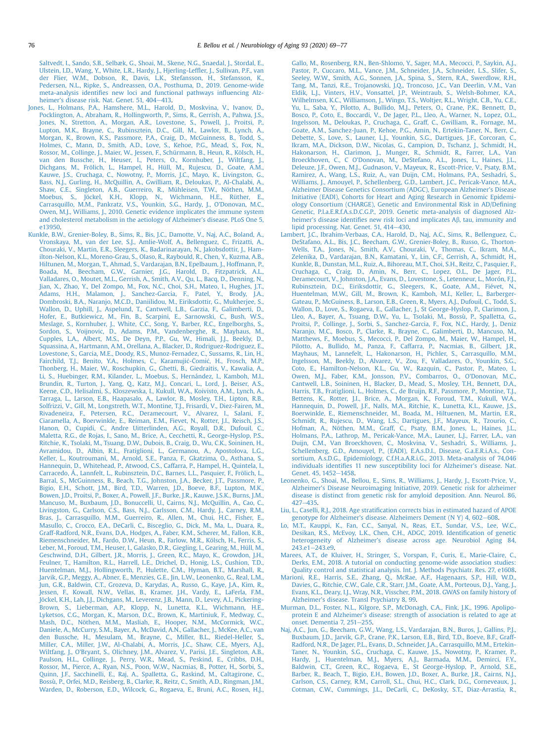[Saltvedt, I., Sando, S.B., Selbæk, G., Shoai, M., Skene, N.G., Snaedal, J., Stordal, E.,](http://refhub.elsevier.com/S0197-4580(20)30151-2/sref17) [Ulstein, I.D., Wang, Y., White, L.R., Hardy, J., Hjerling-Lef](http://refhub.elsevier.com/S0197-4580(20)30151-2/sref17)fler, J., Sullivan, P.F., van [der Flier, W.M., Dobson, R., Davis, L.K., Stefansson, H., Stefansson, K.,](http://refhub.elsevier.com/S0197-4580(20)30151-2/sref17) [Pedersen, N.L., Ripke, S., Andreassen, O.A., Posthuma, D., 2019. Genome-wide](http://refhub.elsevier.com/S0197-4580(20)30151-2/sref17) meta-analysis identifi[es new loci and functional pathways in](http://refhub.elsevier.com/S0197-4580(20)30151-2/sref17)fluencing Alzheimer'[s disease risk. Nat. Genet. 51, 404](http://refhub.elsevier.com/S0197-4580(20)30151-2/sref17)–[413](http://refhub.elsevier.com/S0197-4580(20)30151-2/sref17).

- <span id="page-7-2"></span>[Jones, L., Holmans, P.A., Hamshere, M.L., Harold, D., Moskvina, V., Ivanov, D.,](http://refhub.elsevier.com/S0197-4580(20)30151-2/sref18) [Pocklington, A., Abraham, R., Hollingworth, P., Sims, R., Gerrish, A., Pahwa, J.S.,](http://refhub.elsevier.com/S0197-4580(20)30151-2/sref18) [Jones, N., Stretton, A., Morgan, A.R., Lovestone, S., Powell, J., Proitsi, P.,](http://refhub.elsevier.com/S0197-4580(20)30151-2/sref18) [Lupton, M.K., Brayne, C., Rubinsztein, D.C., Gill, M., Lawlor, B., Lynch, A.,](http://refhub.elsevier.com/S0197-4580(20)30151-2/sref18) [Morgan, K., Brown, K.S., Passmore, P.A., Craig, D., McGuinness, B., Todd, S.,](http://refhub.elsevier.com/S0197-4580(20)30151-2/sref18) [Holmes, C., Mann, D., Smith, A.D., Love, S., Kehoe, P.G., Mead, S., Fox, N.,](http://refhub.elsevier.com/S0197-4580(20)30151-2/sref18) [Rossor, M., Collinge, J., Maier, W., Jessen, F., Schürmann, B., Heun, R., Kölsch, H.,](http://refhub.elsevier.com/S0197-4580(20)30151-2/sref18) [van den Bussche, H., Heuser, I., Peters, O., Kornhuber, J., Wiltfang, J.,](http://refhub.elsevier.com/S0197-4580(20)30151-2/sref18) [Dichgans, M., Frölich, L., Hampel, H., Hüll, M., Rujescu, D., Goate, A.M.,](http://refhub.elsevier.com/S0197-4580(20)30151-2/sref18) [Kauwe, J.S., Cruchaga, C., Nowotny, P., Morris, J.C., Mayo, K., Livingston, G.,](http://refhub.elsevier.com/S0197-4580(20)30151-2/sref18) [Bass, N.J., Gurling, H., McQuillin, A., Gwilliam, R., Deloukas, P., Al-Chalabi, A.,](http://refhub.elsevier.com/S0197-4580(20)30151-2/sref18) [Shaw, C.E., Singleton, A.B., Guerreiro, R., Mühleisen, T.W., Nöthen, M.M.,](http://refhub.elsevier.com/S0197-4580(20)30151-2/sref18) S., Jöckel, K.H., Klopp, N., Wichmann, H.E., Rüther, [Carrasquillo, M.M., Pankratz, V.S., Younkin, S.G., Hardy, J., O](http://refhub.elsevier.com/S0197-4580(20)30151-2/sref18)'Donovan, M.C., [Owen, M.J., Williams, J., 2010. Genetic evidence implicates the immune system](http://refhub.elsevier.com/S0197-4580(20)30151-2/sref18) [and cholesterol metabolism in the aetiology of Alzheimer](http://refhub.elsevier.com/S0197-4580(20)30151-2/sref18)'s disease. PLoS One 5, [e13950](http://refhub.elsevier.com/S0197-4580(20)30151-2/sref18).
- <span id="page-7-3"></span>[Kunkle, B.W., Grenier-Boley, B., Sims, R., Bis, J.C., Damotte, V., Naj, A.C., Boland, A.,](http://refhub.elsevier.com/S0197-4580(20)30151-2/sref19) [Vronskaya, M., van der Lee, S.J., Amlie-Wolf, A., Bellenguez, C., Frizatti, A.,](http://refhub.elsevier.com/S0197-4580(20)30151-2/sref19) [Chouraki, V., Martin, E.R., Sleegers, K., Badarinarayan, N., Jakobsdottir, J., Ham](http://refhub.elsevier.com/S0197-4580(20)30151-2/sref19)[ilton-Nelson, K.L., Moreno-Grau, S., Olaso, R., Raybould, R., Chen, Y., Kuzma, A.B.,](http://refhub.elsevier.com/S0197-4580(20)30151-2/sref19) [Hiltunen, M., Morgan, T., Ahmad, S., Vardarajan, B.N., Epelbaum, J., Hoffmann, P.,](http://refhub.elsevier.com/S0197-4580(20)30151-2/sref19) [Boada, M., Beecham, G.W., Garnier, J.G., Harold, D., Fitzpatrick, A.L.,](http://refhub.elsevier.com/S0197-4580(20)30151-2/sref19) [Valladares, O., Moutet, M.L., Gerrish, A., Smith, A.V., Qu, L., Bacq, D., Denning, N.,](http://refhub.elsevier.com/S0197-4580(20)30151-2/sref19) [Jian, X., Zhao, Y., Del Zompo, M., Fox, N.C., Choi, S.H., Mateo, I., Hughes, J.T.,](http://refhub.elsevier.com/S0197-4580(20)30151-2/sref19) [Adams, H.H., Malamon, J., Sanchez-Garcia, F., Patel, Y., Brody, J.A.,](http://refhub.elsevier.com/S0197-4580(20)30151-2/sref19) [Dombroski, B.A., Naranjo, M.C.D., Daniilidou, M., Eiriksdottir, G., Mukherjee, S.,](http://refhub.elsevier.com/S0197-4580(20)30151-2/sref19) [Wallon, D., Uphill, J., Aspelund, T., Cantwell, L.B., Garzia, F., Galimberti, D.,](http://refhub.elsevier.com/S0197-4580(20)30151-2/sref19) [Hofer, E., Butkiewicz, M., Fin, B., Scarpini, E., Sarnowski, C., Bush, W.S.,](http://refhub.elsevier.com/S0197-4580(20)30151-2/sref19) [Meslage, S., Kornhuber, J., White, C.C., Song, Y., Barber, R.C., Engelborghs, S.,](http://refhub.elsevier.com/S0197-4580(20)30151-2/sref19) [Sordon, S., Voijnovic, D., Adams, P.M., Vandenberghe, R., Mayhaus, M.,](http://refhub.elsevier.com/S0197-4580(20)30151-2/sref19) [Cupples, L.A., Albert, M.S., De Deyn, P.P., Gu, W., Himali, J.J., Beekly, D.,](http://refhub.elsevier.com/S0197-4580(20)30151-2/sref19) [Squassina, A., Hartmann, A.M., Orellana, A., Blacker, D., Rodriguez-Rodriguez, E.,](http://refhub.elsevier.com/S0197-4580(20)30151-2/sref19) [Lovestone, S., Garcia, M.E., Doody, R.S., Munoz-Fernadez, C., Sussams, R., Lin, H.,](http://refhub.elsevier.com/S0197-4580(20)30151-2/sref19) [Fairchild, T.J., Benito, Y.A., Holmes, C., Karamuji](http://refhub.elsevier.com/S0197-4580(20)30151-2/sref19)ć-Č[omi](http://refhub.elsevier.com/S0197-4580(20)30151-2/sref19)ć[, H., Frosch, M.P.,](http://refhub.elsevier.com/S0197-4580(20)30151-2/sref19)<br>[Thonberg, H., Maier, W., Roschupkin, G., Ghetti, B., Giedraitis, V., Kawalia, A.,](http://refhub.elsevier.com/S0197-4580(20)30151-2/sref19) [Li, S., Huebinger, R.M., Kilander, L., Moebus, S., Hernández, I., Kamboh, M.I.,](http://refhub.elsevier.com/S0197-4580(20)30151-2/sref19) [Brundin, R., Turton, J., Yang, Q., Katz, M.J., Concari, L., Lord, J., Beiser, A.S.,](http://refhub.elsevier.com/S0197-4580(20)30151-2/sref19) [Keene, C.D., Helisalmi, S., Kloszewska, I., Kukull, W.A., Koivisto, A.M., Lynch, A.,](http://refhub.elsevier.com/S0197-4580(20)30151-2/sref19) [Tarraga, L., Larson, E.B., Haapasalo, A., Lawlor, B., Mosley, T.H., Lipton, R.B.,](http://refhub.elsevier.com/S0197-4580(20)30151-2/sref19) [Solfrizzi, V., Gill, M., Longstreth, W.T., Montine, T.J., Frisardi, V., Diez-Fairen, M.,](http://refhub.elsevier.com/S0197-4580(20)30151-2/sref19) [Rivadeneira, F., Petersen, R.C., Deramecourt, V., Alvarez, I., Salani, F.,](http://refhub.elsevier.com/S0197-4580(20)30151-2/sref19) [Ciaramella, A., Boerwinkle, E., Reiman, E.M., Fievet, N., Rotter, J.I., Reisch, J.S.,](http://refhub.elsevier.com/S0197-4580(20)30151-2/sref19) [Hanon, O., Cupidi, C., Andre Uitterlinden, A.G., Royall, D.R., Dufouil, C.,](http://refhub.elsevier.com/S0197-4580(20)30151-2/sref19) [Maletta, R.G., de Rojas, I., Sano, M., Brice, A., Cecchetti, R., George-Hyslop, P.S.,](http://refhub.elsevier.com/S0197-4580(20)30151-2/sref19) [Ritchie, K., Tsolaki, M., Tsuang, D.W., Dubois, B., Craig, D., Wu, C.K., Soininen, H.,](http://refhub.elsevier.com/S0197-4580(20)30151-2/sref19) [Avramidou, D., Albin, R.L., Fratiglioni, L., Germanou, A., Apostolova, L.G.,](http://refhub.elsevier.com/S0197-4580(20)30151-2/sref19) [Keller, L., Koutroumani, M., Arnold, S.E., Panza, F., Gkatzima, O., Asthana, S.,](http://refhub.elsevier.com/S0197-4580(20)30151-2/sref19) [Hannequin, D., Whitehead, P., Atwood, C.S., Caffarra, P., Hampel, H., Quintela, I.,](http://refhub.elsevier.com/S0197-4580(20)30151-2/sref19) [Carracedo, Á., Lannfelt, L., Rubinsztein, D.C., Barnes, L.L., Pasquier, F., Frölich, L.,](http://refhub.elsevier.com/S0197-4580(20)30151-2/sref19) [Barral, S., McGuinness, B., Beach, T.G., Johnston, J.A., Becker, J.T., Passmore, P.,](http://refhub.elsevier.com/S0197-4580(20)30151-2/sref19) [Bigio, E.H., Schott, J.M., Bird, T.D., Warren, J.D., Boeve, B.F., Lupton, M.K.,](http://refhub.elsevier.com/S0197-4580(20)30151-2/sref19) [Bowen, J.D., Proitsi, P., Boxer, A., Powell, J.F., Burke, J.R., Kauwe, J.S.K., Burns, J.M.,](http://refhub.elsevier.com/S0197-4580(20)30151-2/sref19) [Mancuso, M., Buxbaum, J.D., Bonuccelli, U., Cairns, N.J., McQuillin, A., Cao, C.,](http://refhub.elsevier.com/S0197-4580(20)30151-2/sref19) [Livingston, G., Carlson, C.S., Bass, N.J., Carlsson, C.M., Hardy, J., Carney, R.M.,](http://refhub.elsevier.com/S0197-4580(20)30151-2/sref19) [Bras, J., Carrasquillo, M.M., Guerreiro, R., Allen, M., Chui, H.C., Fisher, E.,](http://refhub.elsevier.com/S0197-4580(20)30151-2/sref19) [Masullo, C., Crocco, E.A., DeCarli, C., Bisceglio, G., Dick, M., Ma, L., Duara, R.,](http://refhub.elsevier.com/S0197-4580(20)30151-2/sref19) [Graff-Radford, N.R., Evans, D.A., Hodges, A., Faber, K.M., Scherer, M., Fallon, K.B.,](http://refhub.elsevier.com/S0197-4580(20)30151-2/sref19) [Riemenschneider, M., Fardo, D.W., Heun, R., Farlow, M.R., Kölsch, H., Ferris, S.,](http://refhub.elsevier.com/S0197-4580(20)30151-2/sref19) [Leber, M., Foroud, T.M., Heuser, I., Galasko, D.R., Giegling, I., Gearing, M., Hüll, M.,](http://refhub.elsevier.com/S0197-4580(20)30151-2/sref19) [Geschwind, D.H., Gilbert, J.R., Morris, J., Green, R.C., Mayo, K., Growdon, J.H.,](http://refhub.elsevier.com/S0197-4580(20)30151-2/sref19) [Feulner, T., Hamilton, R.L., Harrell, L.E., Drichel, D., Honig, L.S., Cushion, T.D.,](http://refhub.elsevier.com/S0197-4580(20)30151-2/sref19) [Huentelman, M.J., Hollingworth, P., Hulette, C.M., Hyman, B.T., Marshall, R.,](http://refhub.elsevier.com/S0197-4580(20)30151-2/sref19) [Jarvik, G.P., Meggy, A., Abner, E., Menzies, G.E., Jin, L.W., Leonenko, G., Real, L.M.,](http://refhub.elsevier.com/S0197-4580(20)30151-2/sref19) [Jun, G.R., Baldwin, C.T., Grozeva, D., Karydas, A., Russo, G., Kaye, J.A., Kim, R.,](http://refhub.elsevier.com/S0197-4580(20)30151-2/sref19) [Jessen, F., Kowall, N.W., Vellas, B., Kramer, J.H., Vardy, E., LaFerla, F.M.,](http://refhub.elsevier.com/S0197-4580(20)30151-2/sref19) [Jöckel, K.H., Lah, J.J., Dichgans, M., Leverenz, J.B., Mann, D., Levey, A.I., Pickering-](http://refhub.elsevier.com/S0197-4580(20)30151-2/sref19)[Brown, S., Lieberman, A.P., Klopp, N., Lunetta, K.L., Wichmann, H.E.,](http://refhub.elsevier.com/S0197-4580(20)30151-2/sref19) [Lyketsos, C.G., Morgan, K., Marson, D.C., Brown, K., Martiniuk, F., Medway, C.,](http://refhub.elsevier.com/S0197-4580(20)30151-2/sref19) [Mash, D.C., Nöthen, M.M., Masliah, E., Hooper, N.M., McCormick, W.C.,](http://refhub.elsevier.com/S0197-4580(20)30151-2/sref19) [Daniele, A., McCurry, S.M., Bayer, A., McDavid, A.N., Gallacher, J., McKee, A.C., van](http://refhub.elsevier.com/S0197-4580(20)30151-2/sref19) [den Bussche, H., Mesulam, M., Brayne, C., Miller, B.L., Riedel-Heller, S.,](http://refhub.elsevier.com/S0197-4580(20)30151-2/sref19) [Miller, C.A., Miller, J.W., Al-Chalabi, A., Morris, J.C., Shaw, C.E., Myers, A.J.,](http://refhub.elsevier.com/S0197-4580(20)30151-2/sref19) Wiltfang, J., O'[Bryant, S., Olichney, J.M., Alvarez, V., Parisi, J.E., Singleton, A.B.,](http://refhub.elsevier.com/S0197-4580(20)30151-2/sref19) [Paulson, H.L., Collinge, J., Perry, W.R., Mead, S., Peskind, E., Cribbs, D.H.,](http://refhub.elsevier.com/S0197-4580(20)30151-2/sref19) [Rossor, M., Pierce, A., Ryan, N.S., Poon, W.W., Nacmias, B., Potter, H., Sorbi, S.,](http://refhub.elsevier.com/S0197-4580(20)30151-2/sref19) [Quinn, J.F., Sacchinelli, E., Raj, A., Spalletta, G., Raskind, M., Caltagirone, C.,](http://refhub.elsevier.com/S0197-4580(20)30151-2/sref19) [Bossù, P., Orfei, M.D., Reisberg, B., Clarke, R., Reitz, C., Smith, A.D., Ringman, J.M.,](http://refhub.elsevier.com/S0197-4580(20)30151-2/sref19) [Warden, D., Roberson, E.D., Wilcock, G., Rogaeva, E., Bruni, A.C., Rosen, H.J.,](http://refhub.elsevier.com/S0197-4580(20)30151-2/sref19)

[Gallo, M., Rosenberg, R.N., Ben-Shlomo, Y., Sager, M.A., Mecocci, P., Saykin, A.J.,](http://refhub.elsevier.com/S0197-4580(20)30151-2/sref19) [Pastor, P., Cuccaro, M.L., Vance, J.M., Schneider, J.A., Schneider, L.S., Slifer, S.,](http://refhub.elsevier.com/S0197-4580(20)30151-2/sref19) [Seeley, W.W., Smith, A.G., Sonnen, J.A., Spina, S., Stern, R.A., Swerdlow, R.H.,](http://refhub.elsevier.com/S0197-4580(20)30151-2/sref19) [Tang, M., Tanzi, R.E., Trojanowski, J.Q., Troncoso, J.C., Van Deerlin, V.M., Van](http://refhub.elsevier.com/S0197-4580(20)30151-2/sref19) [Eldik, L.J., Vinters, H.V., Vonsattel, J.P., Weintraub, S., Welsh-Bohmer, K.A.,](http://refhub.elsevier.com/S0197-4580(20)30151-2/sref19) [Wilhelmsen, K.C., Williamson, J., Wingo, T.S., Woltjer, R.L., Wright, C.B., Yu, C.E.,](http://refhub.elsevier.com/S0197-4580(20)30151-2/sref19) [Yu, L., Saba, Y., Pilotto, A., Bullido, M.J., Peters, O., Crane, P.K., Bennett, D.,](http://refhub.elsevier.com/S0197-4580(20)30151-2/sref19) [Bosco, P., Coto, E., Boccardi, V., De Jager, P.L., Lleo, A., Warner, N., Lopez, O.L.,](http://refhub.elsevier.com/S0197-4580(20)30151-2/sref19) [Ingelsson, M., Deloukas, P., Cruchaga, C., Graff, C., Gwilliam, R., Fornage, M.,](http://refhub.elsevier.com/S0197-4580(20)30151-2/sref19) [Goate, A.M., Sanchez-Juan, P., Kehoe, P.G., Amin, N., Ertekin-Taner, N., Berr, C.,](http://refhub.elsevier.com/S0197-4580(20)30151-2/sref19) [Debette, S., Love, S., Launer, L.J., Younkin, S.G., Dartigues, J.F., Corcoran, C.,](http://refhub.elsevier.com/S0197-4580(20)30151-2/sref19) [Ikram, M.A., Dickson, D.W., Nicolas, G., Campion, D., Tschanz, J., Schmidt, H.,](http://refhub.elsevier.com/S0197-4580(20)30151-2/sref19) [Hakonarson, H., Clarimon, J., Munger, R., Schmidt, R., Farrer, L.A., Van](http://refhub.elsevier.com/S0197-4580(20)30151-2/sref19) Broeckhoven, C., C O'[Donovan, M., DeStefano, A.L., Jones, L., Haines, J.L.,](http://refhub.elsevier.com/S0197-4580(20)30151-2/sref19) [Deleuze, J.F., Owen, M.J., Gudnason, V., Mayeux, R., Escott-Price, V., Psaty, B.M.,](http://refhub.elsevier.com/S0197-4580(20)30151-2/sref19) [Ramirez, A., Wang, L.S., Ruiz, A., van Duijn, C.M., Holmans, P.A., Seshadri, S.,](http://refhub.elsevier.com/S0197-4580(20)30151-2/sref19) [Williams, J., Amouyel, P., Schellenberg, G.D., Lambert, J.C., Pericak-Vance, M.A.,](http://refhub.elsevier.com/S0197-4580(20)30151-2/sref19) [Alzheimer Disease Genetics Consortium \(ADGC\), European Alzheimer](http://refhub.elsevier.com/S0197-4580(20)30151-2/sref19)'s Disease [Initiative \(EADI\), Cohorts for Heart and Aging Research in Genomic Epidemi](http://refhub.elsevier.com/S0197-4580(20)30151-2/sref19)[ology Consortium \(CHARGE\), Genetic and Environmental Risk in AD/De](http://refhub.elsevier.com/S0197-4580(20)30151-2/sref19)fining [Genetic, P.l.a.E.R.f.A.s.D.C.G.P., 2019. Genetic meta-analysis of diagnosed Alz](http://refhub.elsevier.com/S0197-4580(20)30151-2/sref19)heimer's disease identifi[es new risk loci and implicates A](http://refhub.elsevier.com/S0197-4580(20)30151-2/sref19) $\beta$ , tau, immunity and [lipid processing. Nat. Genet. 51, 414](http://refhub.elsevier.com/S0197-4580(20)30151-2/sref19)-[430.](http://refhub.elsevier.com/S0197-4580(20)30151-2/sref19)

- <span id="page-7-6"></span>[Lambert, J.C., Ibrahim-Verbaas, C.A., Harold, D., Naj, A.C., Sims, R., Bellenguez, C.,](http://refhub.elsevier.com/S0197-4580(20)30151-2/sref20) [DeStafano, A.L., Bis, J.C., Beecham, G.W., Grenier-Boley, B., Russo, G., Thorton-](http://refhub.elsevier.com/S0197-4580(20)30151-2/sref20)[Wells, T.A., Jones, N., Smith, A.V., Chouraki, V., Thomas, C., Ikram, M.A.,](http://refhub.elsevier.com/S0197-4580(20)30151-2/sref20) [Zelenika, D., Vardarajan, B.N., Kamatani, Y., Lin, C.F., Gerrish, A., Schmidt, H.,](http://refhub.elsevier.com/S0197-4580(20)30151-2/sref20) [Kunkle, B., Dunstan, M.L., Ruiz, A., Bihoreau, M.T., Choi, S.H., Reitz, C., Pasquier, F.,](http://refhub.elsevier.com/S0197-4580(20)30151-2/sref20) [Cruchaga, C., Craig, D., Amin, N., Berr, C., Lopez, O.L., De Jager, P.L.,](http://refhub.elsevier.com/S0197-4580(20)30151-2/sref20) [Deramecourt, V., Johnston, J.A., Evans, D., Lovestone, S., Letenneur, L., Morón, F.J.,](http://refhub.elsevier.com/S0197-4580(20)30151-2/sref20) [Rubinsztein, D.C., Eiriksdottir, G., Sleegers, K., Goate, A.M., Fiévet, N.,](http://refhub.elsevier.com/S0197-4580(20)30151-2/sref20) [Huentelman, M.W., Gill, M., Brown, K., Kamboh, M.I., Keller, L., Barberger-](http://refhub.elsevier.com/S0197-4580(20)30151-2/sref20)[Gateau, P., McGuiness, B., Larson, E.B., Green, R., Myers, A.J., Dufouil, C., Todd, S.,](http://refhub.elsevier.com/S0197-4580(20)30151-2/sref20) [Wallon, D., Love, S., Rogaeva, E., Gallacher, J., St George-Hyslop, P., Clarimon, J.,](http://refhub.elsevier.com/S0197-4580(20)30151-2/sref20) [Lleo, A., Bayer, A., Tsuang, D.W., Yu, L., Tsolaki, M., Bossù, P., Spalletta, G.,](http://refhub.elsevier.com/S0197-4580(20)30151-2/sref20) [Proitsi, P., Collinge, J., Sorbi, S., Sanchez-Garcia, F., Fox, N.C., Hardy, J., Deniz](http://refhub.elsevier.com/S0197-4580(20)30151-2/sref20) [Naranjo, M.C., Bosco, P., Clarke, R., Brayne, C., Galimberti, D., Mancuso, M.,](http://refhub.elsevier.com/S0197-4580(20)30151-2/sref20) [Matthews, F., Moebus, S., Mecocci, P., Del Zompo, M., Maier, W., Hampel, H.,](http://refhub.elsevier.com/S0197-4580(20)30151-2/sref20) [Pilotto, A., Bullido, M., Panza, F., Caffarra, P., Nacmias, B., Gilbert, J.R.,](http://refhub.elsevier.com/S0197-4580(20)30151-2/sref20) [Mayhaus, M., Lannefelt, L., Hakonarson, H., Pichler, S., Carrasquillo, M.M.,](http://refhub.elsevier.com/S0197-4580(20)30151-2/sref20) [Ingelsson, M., Beekly, D., Alvarez, V., Zou, F., Valladares, O., Younkin, S.G.,](http://refhub.elsevier.com/S0197-4580(20)30151-2/sref20) [Coto, E., Hamilton-Nelson, K.L., Gu, W., Razquin, C., Pastor, P., Mateo, I.,](http://refhub.elsevier.com/S0197-4580(20)30151-2/sref20)<br>[Owen, M.J., Faber, K.M., Jonsson, P.V., Combarros, O., O](http://refhub.elsevier.com/S0197-4580(20)30151-2/sref20)'Donovan, M.C.,<br>Cantwell, L.B., Soininen, H., Blacker, D., Mead, S., Mosley, T.H., Bennet [Harris, T.B., Fratiglioni, L., Holmes, C., de Bruijn, R.F., Passmore, P., Montine, T.J.,](http://refhub.elsevier.com/S0197-4580(20)30151-2/sref20) [Bettens, K., Rotter, J.I., Brice, A., Morgan, K., Foroud, T.M., Kukull, W.A.,](http://refhub.elsevier.com/S0197-4580(20)30151-2/sref20) [Hannequin, D., Powell, J.F., Nalls, M.A., Ritchie, K., Lunetta, K.L., Kauwe, J.S.,](http://refhub.elsevier.com/S0197-4580(20)30151-2/sref20) [Boerwinkle, E., Riemenschneider, M., Boada, M., Hiltuenen, M., Martin, E.R.,](http://refhub.elsevier.com/S0197-4580(20)30151-2/sref20) [Schmidt, R., Rujescu, D., Wang, L.S., Dartigues, J.F., Mayeux, R., Tzourio, C.,](http://refhub.elsevier.com/S0197-4580(20)30151-2/sref20) [Hofman, A., Nöthen, M.M., Graff, C., Psaty, B.M., Jones, L., Haines, J.L.,](http://refhub.elsevier.com/S0197-4580(20)30151-2/sref20) [Holmans, P.A., Lathrop, M., Pericak-Vance, M.A., Launer, L.J., Farrer, L.A., van](http://refhub.elsevier.com/S0197-4580(20)30151-2/sref20) [Duijn, C.M., Van Broeckhoven, C., Moskvina, V., Seshadri, S., Williams, J.,](http://refhub.elsevier.com/S0197-4580(20)30151-2/sref20) [Schellenberg, G.D., Amouyel, P., \(EADI\), E.A.s.D.I., Disease, G.a.E.R.i.A.s., Con](http://refhub.elsevier.com/S0197-4580(20)30151-2/sref20)[sortium, A.s.D.G., Epidemiology, C.f.H.a.A.R.i.G., 2013. Meta-analysis of 74,046](http://refhub.elsevier.com/S0197-4580(20)30151-2/sref20) individuals identifi[es 11 new susceptibility loci for Alzheimer](http://refhub.elsevier.com/S0197-4580(20)30151-2/sref20)'s disease. Nat. [Genet. 45, 1452](http://refhub.elsevier.com/S0197-4580(20)30151-2/sref20)-[1458](http://refhub.elsevier.com/S0197-4580(20)30151-2/sref20).
- <span id="page-7-7"></span>[Leonenko, G., Shoai, M., Bellou, E., Sims, R., Williams, J., Hardy, J., Escott-Price, V.,](http://refhub.elsevier.com/S0197-4580(20)30151-2/sref21) Alzheimer'[s Disease Neuroimaging Initiative, 2019. Genetic risk for alzheimer](http://refhub.elsevier.com/S0197-4580(20)30151-2/sref21) [disease is distinct from genetic risk for amyloid deposition. Ann. Neurol. 86,](http://refhub.elsevier.com/S0197-4580(20)30151-2/sref21)  $427 - 435$  $427 - 435$
- <span id="page-7-1"></span>Liu, L., Caselli, R.J., 2018. Age stratifi[cation corrects bias in estimated hazard of APOE](http://refhub.elsevier.com/S0197-4580(20)30151-2/sref22) genotype for Alzheimer'[s disease. Alzheimers Dement \(N Y\) 4, 602](http://refhub.elsevier.com/S0197-4580(20)30151-2/sref22)-[608](http://refhub.elsevier.com/S0197-4580(20)30151-2/sref22).
- <span id="page-7-0"></span>[Lo, M.T., Kauppi, K., Fan, C.C., Sanyal, N., Reas, E.T., Sundar, V.S., Lee, W.C.,](http://refhub.elsevier.com/S0197-4580(20)30151-2/sref23) [Desikan, R.S., McEvoy, L.K., Chen, C.H., ADGC, 2019. Identi](http://refhub.elsevier.com/S0197-4580(20)30151-2/sref23)fication of genetic heterogeneity of Alzheimer'[s disease across age. Neurobiol Aging 84,](http://refhub.elsevier.com/S0197-4580(20)30151-2/sref23)  $243.e1 - 243.e9.$  $243.e1 - 243.e9.$  $243.e1 - 243.e9.$
- <span id="page-7-5"></span>[Marees, A.T., de Kluiver, H., Stringer, S., Vorspan, F., Curis, E., Marie-Claire, C.,](http://refhub.elsevier.com/S0197-4580(20)30151-2/sref24) [Derks, E.M., 2018. A tutorial on conducting genome-wide association studies:](http://refhub.elsevier.com/S0197-4580(20)30151-2/sref24) [Quality control and statistical analysis. Int. J. Methods Psychiatr. Res. 27, e1608.](http://refhub.elsevier.com/S0197-4580(20)30151-2/sref24)
- <span id="page-7-4"></span>[Marioni, R.E., Harris, S.E., Zhang, Q., McRae, A.F., Hagenaars, S.P., Hill, W.D.,](http://refhub.elsevier.com/S0197-4580(20)30151-2/sref25) [Davies, G., Ritchie, C.W., Gale, C.R., Starr, J.M., Goate, A.M., Porteous, D.J., Yang, J.,](http://refhub.elsevier.com/S0197-4580(20)30151-2/sref25) [Evans, K.L., Deary, I.J., Wray, N.R., Visscher, P.M., 2018. GWAS on family history of](http://refhub.elsevier.com/S0197-4580(20)30151-2/sref25) Alzheimer'[s disease. Transl Psychiatry 8, 99](http://refhub.elsevier.com/S0197-4580(20)30151-2/sref25).
- [Murman, D.L., Foster, N.L., Kilgore, S.P., McDonagh, C.A., Fink, J.K., 1996. Apolipo](http://refhub.elsevier.com/S0197-4580(20)30151-2/sref26)protein E and Alzheimer'[s disease: strength of association is related to age at](http://refhub.elsevier.com/S0197-4580(20)30151-2/sref26) [onset. Dementia 7, 251](http://refhub.elsevier.com/S0197-4580(20)30151-2/sref26)-[255.](http://refhub.elsevier.com/S0197-4580(20)30151-2/sref26)
- <span id="page-7-8"></span>[Naj, A.C., Jun, G., Beecham, G.W., Wang, L.S., Vardarajan, B.N., Buros, J., Gallins, P.J.,](http://refhub.elsevier.com/S0197-4580(20)30151-2/sref27) [Buxbaum, J.D., Jarvik, G.P., Crane, P.K., Larson, E.B., Bird, T.D., Boeve, B.F., Graff-](http://refhub.elsevier.com/S0197-4580(20)30151-2/sref27)[Radford, N.R., De Jager, P.L., Evans, D., Schneider, J.A., Carrasquillo, M.M., Ertekin-](http://refhub.elsevier.com/S0197-4580(20)30151-2/sref27)[Taner, N., Younkin, S.G., Cruchaga, C., Kauwe, J.S., Nowotny, P., Kramer, P.,](http://refhub.elsevier.com/S0197-4580(20)30151-2/sref27) [Hardy, J., Huentelman, M.J., Myers, A.J., Barmada, M.M., Demirci, F.Y.,](http://refhub.elsevier.com/S0197-4580(20)30151-2/sref27) [Baldwin, C.T., Green, R.C., Rogaeva, E., St George-Hyslop, P., Arnold, S.E.,](http://refhub.elsevier.com/S0197-4580(20)30151-2/sref27) [Barber, R., Beach, T., Bigio, E.H., Bowen, J.D., Boxer, A., Burke, J.R., Cairns, N.J.,](http://refhub.elsevier.com/S0197-4580(20)30151-2/sref27) [Carlson, C.S., Carney, R.M., Carroll, S.L., Chui, H.C., Clark, D.G., Corneveaux, J.,](http://refhub.elsevier.com/S0197-4580(20)30151-2/sref27) [Cotman, C.W., Cummings, J.L., DeCarli, C., DeKosky, S.T., Diaz-Arrastia, R.,](http://refhub.elsevier.com/S0197-4580(20)30151-2/sref27)